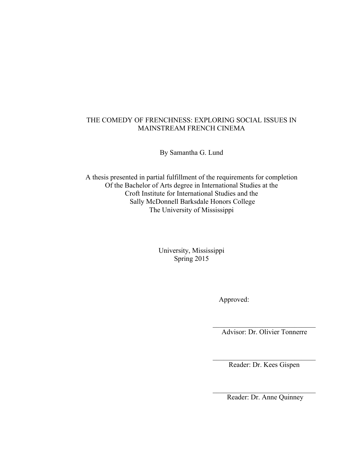# THE COMEDY OF FRENCHNESS: EXPLORING SOCIAL ISSUES IN MAINSTREAM FRENCH CINEMA

By Samantha G. Lund

A thesis presented in partial fulfillment of the requirements for completion Of the Bachelor of Arts degree in International Studies at the Croft Institute for International Studies and the Sally McDonnell Barksdale Honors College The University of Mississippi

> University, Mississippi Spring 2015

> > Approved:

 $\mathcal{L}_\text{max}$ Advisor: Dr. Olivier Tonnerre

 $\mathcal{L}_\text{max}$  , where  $\mathcal{L}_\text{max}$  , we have the set of  $\mathcal{L}_\text{max}$ Reader: Dr. Kees Gispen

 $\mathcal{L}_\text{max}$  , where  $\mathcal{L}_\text{max}$  , we have the set of  $\mathcal{L}_\text{max}$ Reader: Dr. Anne Quinney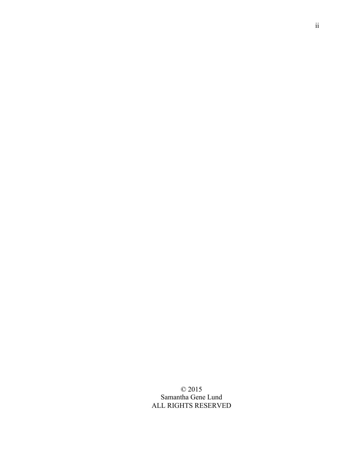© 2015 Samantha Gene Lund ALL RIGHTS RESERVED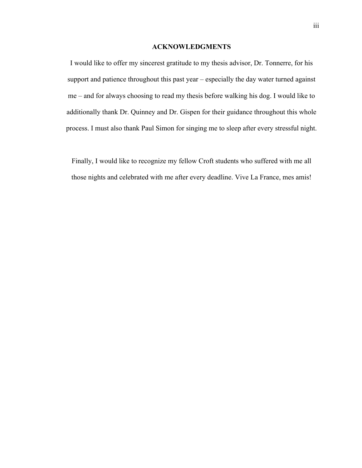## **ACKNOWLEDGMENTS**

I would like to offer my sincerest gratitude to my thesis advisor, Dr. Tonnerre, for his support and patience throughout this past year – especially the day water turned against me – and for always choosing to read my thesis before walking his dog. I would like to additionally thank Dr. Quinney and Dr. Gispen for their guidance throughout this whole process. I must also thank Paul Simon for singing me to sleep after every stressful night.

Finally, I would like to recognize my fellow Croft students who suffered with me all those nights and celebrated with me after every deadline. Vive La France, mes amis!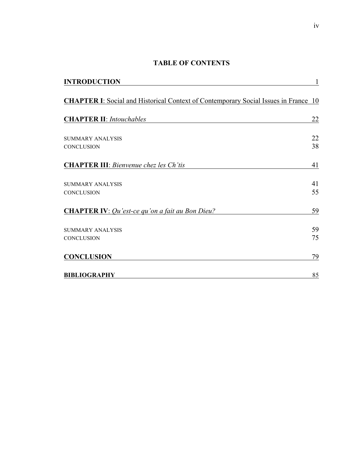# **TABLE OF CONTENTS**

| <b>INTRODUCTION</b>                                                                        | $\mathbf{1}$ |
|--------------------------------------------------------------------------------------------|--------------|
| <b>CHAPTER I:</b> Social and Historical Context of Contemporary Social Issues in France 10 |              |
| <b>CHAPTER II:</b> Intouchables                                                            | 22           |
| SUMMARY ANALYSIS<br><b>CONCLUSION</b>                                                      | 22<br>38     |
| <b>CHAPTER III:</b> Bienvenue chez les Ch'tis                                              | 41           |
| SUMMARY ANALYSIS                                                                           | 41           |
| <b>CONCLUSION</b>                                                                          | 55           |
| <b>CHAPTER IV:</b> <i>Qu'est-ce qu'on a fait au Bon Dieu?</i>                              | 59<br>59     |
| <b>SUMMARY ANALYSIS</b><br>CONCLUSION                                                      | 75           |
| <b>CONCLUSION</b>                                                                          | 79           |
| <b>BIBLIOGRAPHY</b>                                                                        | 85           |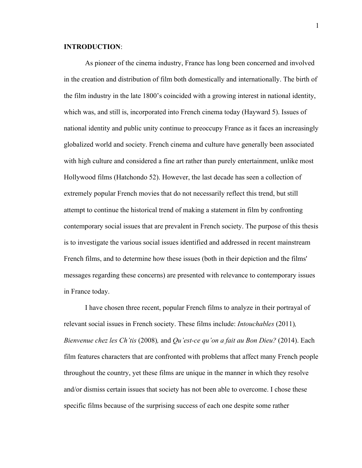## **INTRODUCTION**:

As pioneer of the cinema industry, France has long been concerned and involved in the creation and distribution of film both domestically and internationally. The birth of the film industry in the late 1800's coincided with a growing interest in national identity, which was, and still is, incorporated into French cinema today (Hayward 5). Issues of national identity and public unity continue to preoccupy France as it faces an increasingly globalized world and society. French cinema and culture have generally been associated with high culture and considered a fine art rather than purely entertainment, unlike most Hollywood films (Hatchondo 52). However, the last decade has seen a collection of extremely popular French movies that do not necessarily reflect this trend, but still attempt to continue the historical trend of making a statement in film by confronting contemporary social issues that are prevalent in French society. The purpose of this thesis is to investigate the various social issues identified and addressed in recent mainstream French films, and to determine how these issues (both in their depiction and the films' messages regarding these concerns) are presented with relevance to contemporary issues in France today.

I have chosen three recent, popular French films to analyze in their portrayal of relevant social issues in French society. These films include: *Intouchables* (2011)*, Bienvenue chez les Ch'tis* (2008)*,* and *Qu'est-ce qu'on a fait au Bon Dieu?* (2014). Each film features characters that are confronted with problems that affect many French people throughout the country, yet these films are unique in the manner in which they resolve and/or dismiss certain issues that society has not been able to overcome. I chose these specific films because of the surprising success of each one despite some rather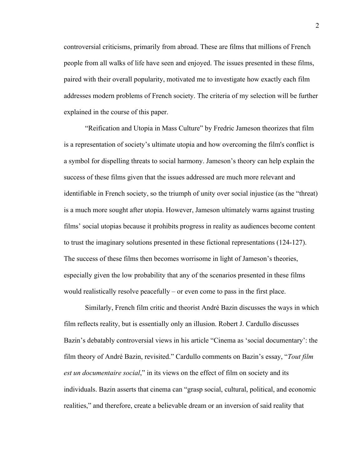controversial criticisms, primarily from abroad. These are films that millions of French people from all walks of life have seen and enjoyed. The issues presented in these films, paired with their overall popularity, motivated me to investigate how exactly each film addresses modern problems of French society. The criteria of my selection will be further explained in the course of this paper.

"Reification and Utopia in Mass Culture" by Fredric Jameson theorizes that film is a representation of society's ultimate utopia and how overcoming the film's conflict is a symbol for dispelling threats to social harmony. Jameson's theory can help explain the success of these films given that the issues addressed are much more relevant and identifiable in French society, so the triumph of unity over social injustice (as the "threat) is a much more sought after utopia. However, Jameson ultimately warns against trusting films' social utopias because it prohibits progress in reality as audiences become content to trust the imaginary solutions presented in these fictional representations (124-127). The success of these films then becomes worrisome in light of Jameson's theories, especially given the low probability that any of the scenarios presented in these films would realistically resolve peacefully – or even come to pass in the first place.

Similarly, French film critic and theorist André Bazin discusses the ways in which film reflects reality, but is essentially only an illusion. Robert J. Cardullo discusses Bazin's debatably controversial views in his article "Cinema as 'social documentary': the film theory of André Bazin, revisited." Cardullo comments on Bazin's essay, "*Tout film est un documentaire social*," in its views on the effect of film on society and its individuals. Bazin asserts that cinema can "grasp social, cultural, political, and economic realities," and therefore, create a believable dream or an inversion of said reality that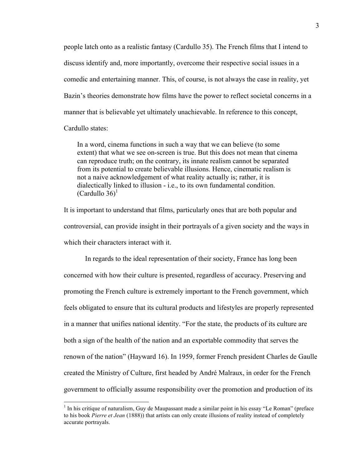people latch onto as a realistic fantasy (Cardullo 35). The French films that I intend to discuss identify and, more importantly, overcome their respective social issues in a comedic and entertaining manner. This, of course, is not always the case in reality, yet Bazin's theories demonstrate how films have the power to reflect societal concerns in a manner that is believable yet ultimately unachievable. In reference to this concept,

Cardullo states:

In a word, cinema functions in such a way that we can believe (to some extent) that what we see on-screen is true. But this does not mean that cinema can reproduce truth; on the contrary, its innate realism cannot be separated from its potential to create believable illusions. Hence, cinematic realism is not a naive acknowledgement of what reality actually is; rather, it is dialectically linked to illusion - i.e., to its own fundamental condition. (Cardullo  $36$ <sup>1</sup>)

It is important to understand that films, particularly ones that are both popular and controversial, can provide insight in their portrayals of a given society and the ways in which their characters interact with it.

In regards to the ideal representation of their society, France has long been concerned with how their culture is presented, regardless of accuracy. Preserving and promoting the French culture is extremely important to the French government, which feels obligated to ensure that its cultural products and lifestyles are properly represented in a manner that unifies national identity. "For the state, the products of its culture are both a sign of the health of the nation and an exportable commodity that serves the renown of the nation" (Hayward 16). In 1959, former French president Charles de Gaulle created the Ministry of Culture, first headed by André Malraux, in order for the French government to officially assume responsibility over the promotion and production of its

 $<sup>1</sup>$  In his critique of naturalism, Guy de Maupassant made a similar point in his essay "Le Roman" (preface</sup> to his book *Pierre et Jean* (1888)) that artists can only create illusions of reality instead of completely accurate portrayals.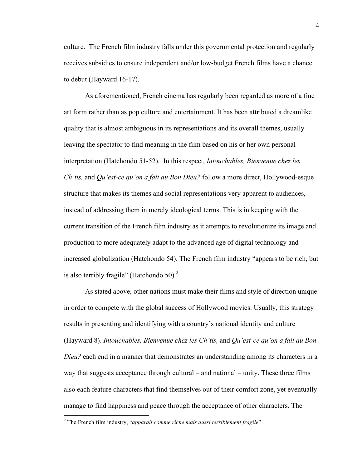culture. The French film industry falls under this governmental protection and regularly receives subsidies to ensure independent and/or low-budget French films have a chance to debut (Hayward 16-17).

As aforementioned, French cinema has regularly been regarded as more of a fine art form rather than as pop culture and entertainment. It has been attributed a dreamlike quality that is almost ambiguous in its representations and its overall themes, usually leaving the spectator to find meaning in the film based on his or her own personal interpretation (Hatchondo 51-52). In this respect, *Intouchables, Bienvenue chez les Ch'tis,* and *Qu'est-ce qu'on a fait au Bon Dieu?* follow a more direct, Hollywood-esque structure that makes its themes and social representations very apparent to audiences, instead of addressing them in merely ideological terms. This is in keeping with the current transition of the French film industry as it attempts to revolutionize its image and production to more adequately adapt to the advanced age of digital technology and increased globalization (Hatchondo 54). The French film industry "appears to be rich, but is also terribly fragile" (Hatchondo 50). $<sup>2</sup>$ </sup>

As stated above, other nations must make their films and style of direction unique in order to compete with the global success of Hollywood movies. Usually, this strategy results in presenting and identifying with a country's national identity and culture (Hayward 8). *Intouchables, Bienvenue chez les Ch'tis,* and *Qu'est-ce qu'on a fait au Bon Dieu?* each end in a manner that demonstrates an understanding among its characters in a way that suggests acceptance through cultural – and national – unity. These three films also each feature characters that find themselves out of their comfort zone, yet eventually manage to find happiness and peace through the acceptance of other characters. The

 <sup>2</sup> The French film industry, "*apparaît comme riche mais aussi terriblement fragile*"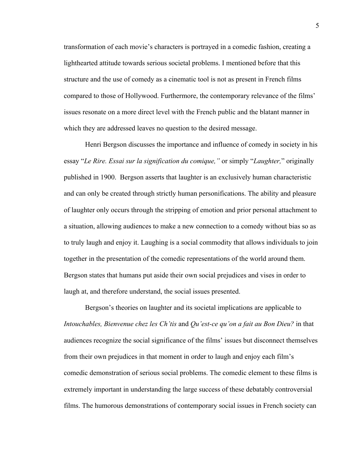transformation of each movie's characters is portrayed in a comedic fashion, creating a lighthearted attitude towards serious societal problems. I mentioned before that this structure and the use of comedy as a cinematic tool is not as present in French films compared to those of Hollywood. Furthermore, the contemporary relevance of the films' issues resonate on a more direct level with the French public and the blatant manner in which they are addressed leaves no question to the desired message.

Henri Bergson discusses the importance and influence of comedy in society in his essay "*Le Rire. Essai sur la signification du comique,"* or simply "*Laughter,*" originally published in 1900. Bergson asserts that laughter is an exclusively human characteristic and can only be created through strictly human personifications. The ability and pleasure of laughter only occurs through the stripping of emotion and prior personal attachment to a situation, allowing audiences to make a new connection to a comedy without bias so as to truly laugh and enjoy it. Laughing is a social commodity that allows individuals to join together in the presentation of the comedic representations of the world around them. Bergson states that humans put aside their own social prejudices and vises in order to laugh at, and therefore understand, the social issues presented.

Bergson's theories on laughter and its societal implications are applicable to *Intouchables, Bienvenue chez les Ch'tis* and *Qu'est-ce qu'on a fait au Bon Dieu?* in that audiences recognize the social significance of the films' issues but disconnect themselves from their own prejudices in that moment in order to laugh and enjoy each film's comedic demonstration of serious social problems. The comedic element to these films is extremely important in understanding the large success of these debatably controversial films. The humorous demonstrations of contemporary social issues in French society can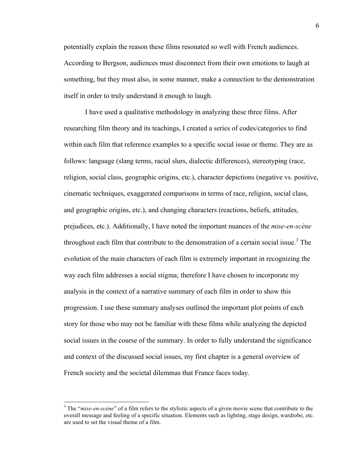potentially explain the reason these films resonated so well with French audiences. According to Bergson, audiences must disconnect from their own emotions to laugh at something, but they must also, in some manner, make a connection to the demonstration itself in order to truly understand it enough to laugh.

I have used a qualitative methodology in analyzing these three films. After researching film theory and its teachings, I created a series of codes/categories to find within each film that reference examples to a specific social issue or theme. They are as follows: language (slang terms, racial slurs, dialectic differences), stereotyping (race, religion, social class, geographic origins, etc.), character depictions (negative vs. positive, cinematic techniques, exaggerated comparisons in terms of race, religion, social class, and geographic origins, etc.), and changing characters (reactions, beliefs, attitudes, prejudices, etc.). Additionally, I have noted the important nuances of the *mise-en-scène* throughout each film that contribute to the demonstration of a certain social issue.<sup>3</sup> The evolution of the main characters of each film is extremely important in recognizing the way each film addresses a social stigma; therefore I have chosen to incorporate my analysis in the context of a narrative summary of each film in order to show this progression. I use these summary analyses outlined the important plot points of each story for those who may not be familiar with these films while analyzing the depicted social issues in the course of the summary. In order to fully understand the significance and context of the discussed social issues, my first chapter is a general overview of French society and the societal dilemmas that France faces today.

 <sup>3</sup> The "*mise-en-scène*" of a film refers to the stylistic aspects of a given movie scene that contribute to the overall message and feeling of a specific situation. Elements such as lighting, stage design, wardrobe, etc. are used to set the visual theme of a film.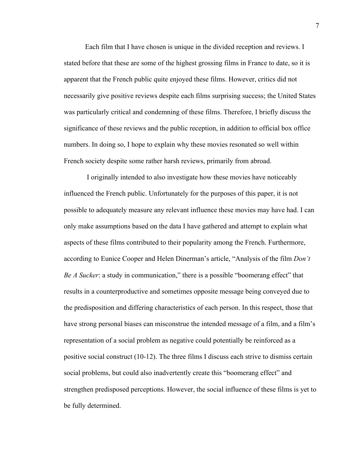Each film that I have chosen is unique in the divided reception and reviews. I stated before that these are some of the highest grossing films in France to date, so it is apparent that the French public quite enjoyed these films. However, critics did not necessarily give positive reviews despite each films surprising success; the United States was particularly critical and condemning of these films. Therefore, I briefly discuss the significance of these reviews and the public reception, in addition to official box office numbers. In doing so, I hope to explain why these movies resonated so well within French society despite some rather harsh reviews, primarily from abroad.

I originally intended to also investigate how these movies have noticeably influenced the French public. Unfortunately for the purposes of this paper, it is not possible to adequately measure any relevant influence these movies may have had. I can only make assumptions based on the data I have gathered and attempt to explain what aspects of these films contributed to their popularity among the French. Furthermore, according to Eunice Cooper and Helen Dinerman's article, "Analysis of the film *Don't Be A Sucker*: a study in communication," there is a possible "boomerang effect" that results in a counterproductive and sometimes opposite message being conveyed due to the predisposition and differing characteristics of each person. In this respect, those that have strong personal biases can misconstrue the intended message of a film, and a film's representation of a social problem as negative could potentially be reinforced as a positive social construct (10-12). The three films I discuss each strive to dismiss certain social problems, but could also inadvertently create this "boomerang effect" and strengthen predisposed perceptions. However, the social influence of these films is yet to be fully determined.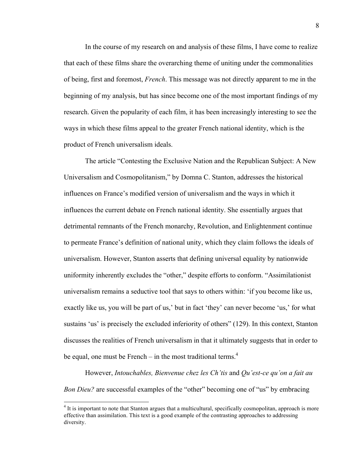In the course of my research on and analysis of these films, I have come to realize that each of these films share the overarching theme of uniting under the commonalities of being, first and foremost, *French*. This message was not directly apparent to me in the beginning of my analysis, but has since become one of the most important findings of my research. Given the popularity of each film, it has been increasingly interesting to see the ways in which these films appeal to the greater French national identity, which is the product of French universalism ideals.

The article "Contesting the Exclusive Nation and the Republican Subject: A New Universalism and Cosmopolitanism," by Domna C. Stanton, addresses the historical influences on France's modified version of universalism and the ways in which it influences the current debate on French national identity. She essentially argues that detrimental remnants of the French monarchy, Revolution, and Enlightenment continue to permeate France's definition of national unity, which they claim follows the ideals of universalism. However, Stanton asserts that defining universal equality by nationwide uniformity inherently excludes the "other," despite efforts to conform. "Assimilationist universalism remains a seductive tool that says to others within: 'if you become like us, exactly like us, you will be part of us,' but in fact 'they' can never become 'us,' for what sustains 'us' is precisely the excluded inferiority of others" (129). In this context, Stanton discusses the realities of French universalism in that it ultimately suggests that in order to be equal, one must be French – in the most traditional terms. $4$ 

However, *Intouchables, Bienvenue chez les Ch'tis* and *Qu'est-ce qu'on a fait au Bon Dieu?* are successful examples of the "other" becoming one of "us" by embracing

 $4$  It is important to note that Stanton argues that a multicultural, specifically cosmopolitan, approach is more effective than assimilation. This text is a good example of the contrasting approaches to addressing diversity.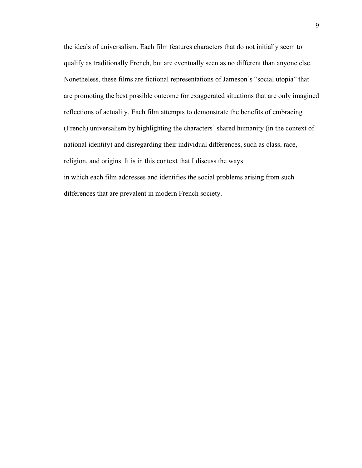the ideals of universalism. Each film features characters that do not initially seem to qualify as traditionally French, but are eventually seen as no different than anyone else. Nonetheless, these films are fictional representations of Jameson's "social utopia" that are promoting the best possible outcome for exaggerated situations that are only imagined reflections of actuality. Each film attempts to demonstrate the benefits of embracing (French) universalism by highlighting the characters' shared humanity (in the context of national identity) and disregarding their individual differences, such as class, race, religion, and origins. It is in this context that I discuss the ways in which each film addresses and identifies the social problems arising from such differences that are prevalent in modern French society.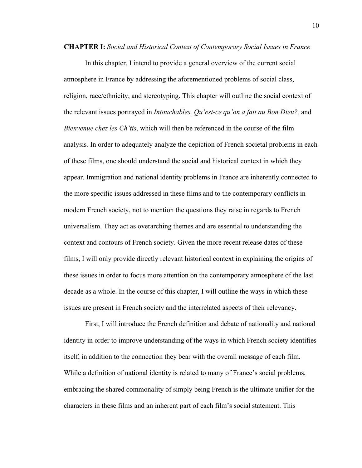**CHAPTER I:** *Social and Historical Context of Contemporary Social Issues in France*

In this chapter, I intend to provide a general overview of the current social atmosphere in France by addressing the aforementioned problems of social class, religion, race/ethnicity, and stereotyping. This chapter will outline the social context of the relevant issues portrayed in *Intouchables, Qu'est-ce qu'on a fait au Bon Dieu?,* and *Bienvenue chez les Ch'tis*, which will then be referenced in the course of the film analysis*.* In order to adequately analyze the depiction of French societal problems in each of these films, one should understand the social and historical context in which they appear. Immigration and national identity problems in France are inherently connected to the more specific issues addressed in these films and to the contemporary conflicts in modern French society, not to mention the questions they raise in regards to French universalism. They act as overarching themes and are essential to understanding the context and contours of French society. Given the more recent release dates of these films, I will only provide directly relevant historical context in explaining the origins of these issues in order to focus more attention on the contemporary atmosphere of the last decade as a whole. In the course of this chapter, I will outline the ways in which these issues are present in French society and the interrelated aspects of their relevancy.

First, I will introduce the French definition and debate of nationality and national identity in order to improve understanding of the ways in which French society identifies itself, in addition to the connection they bear with the overall message of each film. While a definition of national identity is related to many of France's social problems, embracing the shared commonality of simply being French is the ultimate unifier for the characters in these films and an inherent part of each film's social statement. This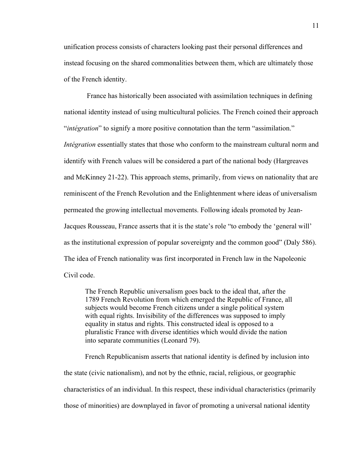unification process consists of characters looking past their personal differences and instead focusing on the shared commonalities between them, which are ultimately those of the French identity.

France has historically been associated with assimilation techniques in defining national identity instead of using multicultural policies. The French coined their approach "*intégration*" to signify a more positive connotation than the term "assimilation." *Intégration* essentially states that those who conform to the mainstream cultural norm and identify with French values will be considered a part of the national body (Hargreaves and McKinney 21-22). This approach stems, primarily, from views on nationality that are reminiscent of the French Revolution and the Enlightenment where ideas of universalism permeated the growing intellectual movements. Following ideals promoted by Jean-Jacques Rousseau, France asserts that it is the state's role "to embody the 'general will' as the institutional expression of popular sovereignty and the common good" (Daly 586). The idea of French nationality was first incorporated in French law in the Napoleonic Civil code.

The French Republic universalism goes back to the ideal that, after the 1789 French Revolution from which emerged the Republic of France, all subjects would become French citizens under a single political system with equal rights. Invisibility of the differences was supposed to imply equality in status and rights. This constructed ideal is opposed to a pluralistic France with diverse identities which would divide the nation into separate communities (Leonard 79).

French Republicanism asserts that national identity is defined by inclusion into

the state (civic nationalism), and not by the ethnic, racial, religious, or geographic characteristics of an individual. In this respect, these individual characteristics (primarily those of minorities) are downplayed in favor of promoting a universal national identity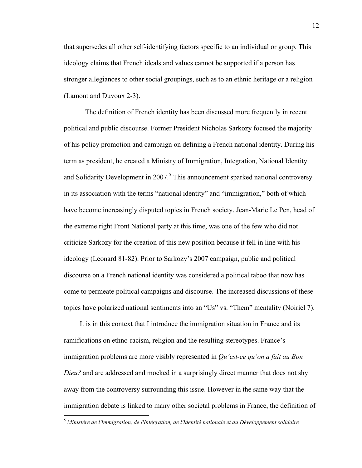that supersedes all other self-identifying factors specific to an individual or group. This ideology claims that French ideals and values cannot be supported if a person has stronger allegiances to other social groupings, such as to an ethnic heritage or a religion (Lamont and Duvoux 2-3).

The definition of French identity has been discussed more frequently in recent political and public discourse. Former President Nicholas Sarkozy focused the majority of his policy promotion and campaign on defining a French national identity. During his term as president, he created a Ministry of Immigration, Integration, National Identity and Solidarity Development in 2007. <sup>5</sup> This announcement sparked national controversy in its association with the terms "national identity" and "immigration," both of which have become increasingly disputed topics in French society. Jean-Marie Le Pen, head of the extreme right Front National party at this time, was one of the few who did not criticize Sarkozy for the creation of this new position because it fell in line with his ideology (Leonard 81-82). Prior to Sarkozy's 2007 campaign, public and political discourse on a French national identity was considered a political taboo that now has come to permeate political campaigns and discourse. The increased discussions of these topics have polarized national sentiments into an "Us" vs. "Them" mentality (Noiriel 7).

It is in this context that I introduce the immigration situation in France and its ramifications on ethno-racism, religion and the resulting stereotypes. France's immigration problems are more visibly represented in *Qu'est-ce qu'on a fait au Bon Dieu?* and are addressed and mocked in a surprisingly direct manner that does not shy away from the controversy surrounding this issue. However in the same way that the immigration debate is linked to many other societal problems in France, the definition of

 <sup>5</sup> *Ministère de l'Immigration, de l'Intégration, de l'Identité nationale et du Développement solidaire*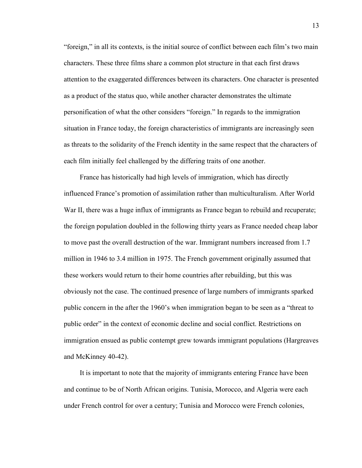"foreign," in all its contexts, is the initial source of conflict between each film's two main characters. These three films share a common plot structure in that each first draws attention to the exaggerated differences between its characters. One character is presented as a product of the status quo, while another character demonstrates the ultimate personification of what the other considers "foreign." In regards to the immigration situation in France today, the foreign characteristics of immigrants are increasingly seen as threats to the solidarity of the French identity in the same respect that the characters of each film initially feel challenged by the differing traits of one another.

France has historically had high levels of immigration, which has directly influenced France's promotion of assimilation rather than multiculturalism. After World War II, there was a huge influx of immigrants as France began to rebuild and recuperate; the foreign population doubled in the following thirty years as France needed cheap labor to move past the overall destruction of the war. Immigrant numbers increased from 1.7 million in 1946 to 3.4 million in 1975. The French government originally assumed that these workers would return to their home countries after rebuilding, but this was obviously not the case. The continued presence of large numbers of immigrants sparked public concern in the after the 1960's when immigration began to be seen as a "threat to public order" in the context of economic decline and social conflict. Restrictions on immigration ensued as public contempt grew towards immigrant populations (Hargreaves and McKinney 40-42).

It is important to note that the majority of immigrants entering France have been and continue to be of North African origins. Tunisia, Morocco, and Algeria were each under French control for over a century; Tunisia and Morocco were French colonies,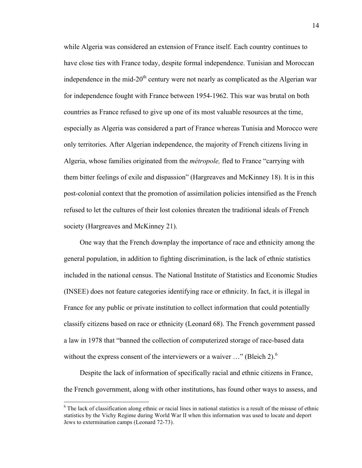while Algeria was considered an extension of France itself. Each country continues to have close ties with France today, despite formal independence. Tunisian and Moroccan independence in the mid- $20<sup>th</sup>$  century were not nearly as complicated as the Algerian war for independence fought with France between 1954-1962. This war was brutal on both countries as France refused to give up one of its most valuable resources at the time, especially as Algeria was considered a part of France whereas Tunisia and Morocco were only territories. After Algerian independence, the majority of French citizens living in Algeria, whose families originated from the *métropole,* fled to France "carrying with them bitter feelings of exile and dispassion" (Hargreaves and McKinney 18). It is in this post-colonial context that the promotion of assimilation policies intensified as the French refused to let the cultures of their lost colonies threaten the traditional ideals of French society (Hargreaves and McKinney 21).

One way that the French downplay the importance of race and ethnicity among the general population, in addition to fighting discrimination, is the lack of ethnic statistics included in the national census. The National Institute of Statistics and Economic Studies (INSEE) does not feature categories identifying race or ethnicity. In fact, it is illegal in France for any public or private institution to collect information that could potentially classify citizens based on race or ethnicity (Leonard 68). The French government passed a law in 1978 that "banned the collection of computerized storage of race-based data without the express consent of the interviewers or a waiver  $\ldots$ " (Bleich 2).<sup>6</sup>

Despite the lack of information of specifically racial and ethnic citizens in France, the French government, along with other institutions, has found other ways to assess, and

 $6$  The lack of classification along ethnic or racial lines in national statistics is a result of the misuse of ethnic statistics by the Vichy Regime during World War II when this information was used to locate and deport Jews to extermination camps (Leonard 72-73).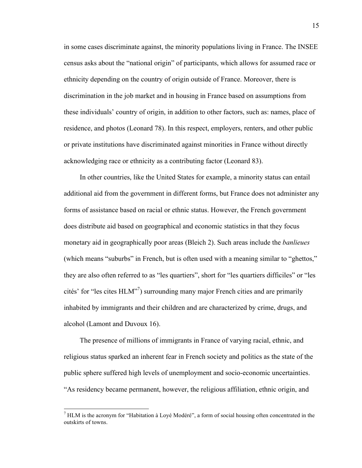in some cases discriminate against, the minority populations living in France. The INSEE census asks about the "national origin" of participants, which allows for assumed race or ethnicity depending on the country of origin outside of France. Moreover, there is discrimination in the job market and in housing in France based on assumptions from these individuals' country of origin, in addition to other factors, such as: names, place of residence, and photos (Leonard 78). In this respect, employers, renters, and other public or private institutions have discriminated against minorities in France without directly acknowledging race or ethnicity as a contributing factor (Leonard 83).

In other countries, like the United States for example, a minority status can entail additional aid from the government in different forms, but France does not administer any forms of assistance based on racial or ethnic status. However, the French government does distribute aid based on geographical and economic statistics in that they focus monetary aid in geographically poor areas (Bleich 2). Such areas include the *banlieues* (which means "suburbs" in French, but is often used with a meaning similar to "ghettos," they are also often referred to as "les quartiers", short for "les quartiers difficiles" or "les cités' for "les cites HLM"7 ) surrounding many major French cities and are primarily inhabited by immigrants and their children and are characterized by crime, drugs, and alcohol (Lamont and Duvoux 16).

The presence of millions of immigrants in France of varying racial, ethnic, and religious status sparked an inherent fear in French society and politics as the state of the public sphere suffered high levels of unemployment and socio-economic uncertainties. "As residency became permanent, however, the religious affiliation, ethnic origin, and

 $<sup>7</sup>$  HLM is the acronym for "Habitation à Lové Modéré", a form of social housing often concentrated in the</sup> outskirts of towns.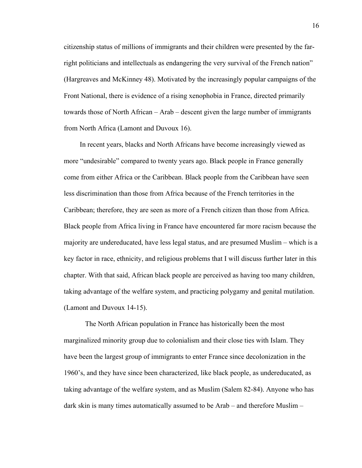citizenship status of millions of immigrants and their children were presented by the farright politicians and intellectuals as endangering the very survival of the French nation" (Hargreaves and McKinney 48). Motivated by the increasingly popular campaigns of the Front National, there is evidence of a rising xenophobia in France, directed primarily towards those of North African – Arab – descent given the large number of immigrants from North Africa (Lamont and Duvoux 16).

In recent years, blacks and North Africans have become increasingly viewed as more "undesirable" compared to twenty years ago. Black people in France generally come from either Africa or the Caribbean. Black people from the Caribbean have seen less discrimination than those from Africa because of the French territories in the Caribbean; therefore, they are seen as more of a French citizen than those from Africa. Black people from Africa living in France have encountered far more racism because the majority are undereducated, have less legal status, and are presumed Muslim – which is a key factor in race, ethnicity, and religious problems that I will discuss further later in this chapter. With that said, African black people are perceived as having too many children, taking advantage of the welfare system, and practicing polygamy and genital mutilation. (Lamont and Duvoux 14-15).

The North African population in France has historically been the most marginalized minority group due to colonialism and their close ties with Islam. They have been the largest group of immigrants to enter France since decolonization in the 1960's, and they have since been characterized, like black people, as undereducated, as taking advantage of the welfare system, and as Muslim (Salem 82-84). Anyone who has dark skin is many times automatically assumed to be Arab – and therefore Muslim –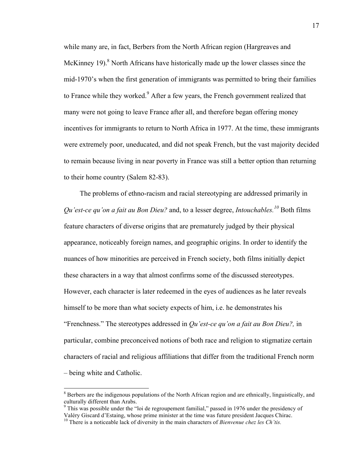while many are, in fact, Berbers from the North African region (Hargreaves and McKinney 19). $8$  North Africans have historically made up the lower classes since the mid-1970's when the first generation of immigrants was permitted to bring their families to France while they worked.<sup>9</sup> After a few years, the French government realized that many were not going to leave France after all, and therefore began offering money incentives for immigrants to return to North Africa in 1977. At the time, these immigrants were extremely poor, uneducated, and did not speak French, but the vast majority decided to remain because living in near poverty in France was still a better option than returning to their home country (Salem 82-83).

The problems of ethno-racism and racial stereotyping are addressed primarily in *Qu'est-ce qu'on a fait au Bon Dieu?* and, to a lesser degree, *Intouchables. <sup>10</sup>* Both films feature characters of diverse origins that are prematurely judged by their physical appearance, noticeably foreign names, and geographic origins. In order to identify the nuances of how minorities are perceived in French society, both films initially depict these characters in a way that almost confirms some of the discussed stereotypes. However, each character is later redeemed in the eyes of audiences as he later reveals himself to be more than what society expects of him, i.e. he demonstrates his "Frenchness." The stereotypes addressed in *Qu'est-ce qu'on a fait au Bon Dieu?,* in particular, combine preconceived notions of both race and religion to stigmatize certain characters of racial and religious affiliations that differ from the traditional French norm – being white and Catholic.

 $8$  Berbers are the indigenous populations of the North African region and are ethnically, linguistically, and culturally different than Arabs.<br><sup>9</sup> This was possible under the "loi de regroupement familial," passed in 1976 under the presidency of

Valéry Giscard d'Estaing, whose prime minister at the time was future president Jacques Chirac. <sup>10</sup> There is a noticeable lack of diversity in the main characters of *Bienvenue chez les Ch'tis.*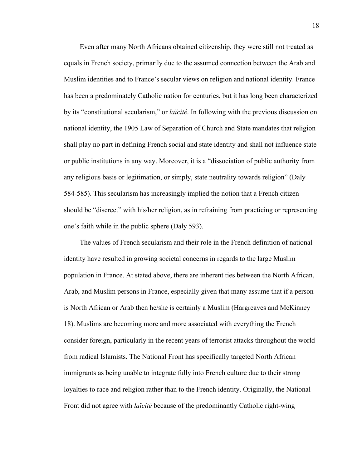Even after many North Africans obtained citizenship, they were still not treated as equals in French society, primarily due to the assumed connection between the Arab and Muslim identities and to France's secular views on religion and national identity. France has been a predominately Catholic nation for centuries, but it has long been characterized by its "constitutional secularism," or *laïcité*. In following with the previous discussion on national identity, the 1905 Law of Separation of Church and State mandates that religion shall play no part in defining French social and state identity and shall not influence state or public institutions in any way. Moreover, it is a "dissociation of public authority from any religious basis or legitimation, or simply, state neutrality towards religion" (Daly 584-585). This secularism has increasingly implied the notion that a French citizen should be "discreet" with his/her religion, as in refraining from practicing or representing one's faith while in the public sphere (Daly 593).

The values of French secularism and their role in the French definition of national identity have resulted in growing societal concerns in regards to the large Muslim population in France. At stated above, there are inherent ties between the North African, Arab, and Muslim persons in France, especially given that many assume that if a person is North African or Arab then he/she is certainly a Muslim (Hargreaves and McKinney 18). Muslims are becoming more and more associated with everything the French consider foreign, particularly in the recent years of terrorist attacks throughout the world from radical Islamists. The National Front has specifically targeted North African immigrants as being unable to integrate fully into French culture due to their strong loyalties to race and religion rather than to the French identity. Originally, the National Front did not agree with *laïcité* because of the predominantly Catholic right-wing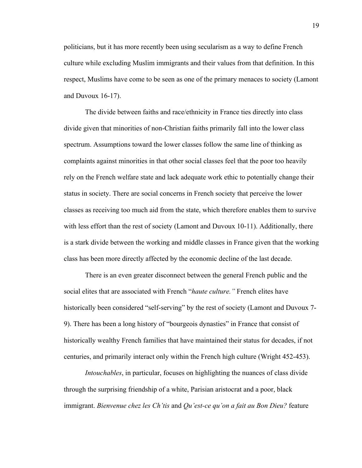politicians, but it has more recently been using secularism as a way to define French culture while excluding Muslim immigrants and their values from that definition. In this respect, Muslims have come to be seen as one of the primary menaces to society (Lamont and Duvoux 16-17).

The divide between faiths and race/ethnicity in France ties directly into class divide given that minorities of non-Christian faiths primarily fall into the lower class spectrum. Assumptions toward the lower classes follow the same line of thinking as complaints against minorities in that other social classes feel that the poor too heavily rely on the French welfare state and lack adequate work ethic to potentially change their status in society. There are social concerns in French society that perceive the lower classes as receiving too much aid from the state, which therefore enables them to survive with less effort than the rest of society (Lamont and Duvoux 10-11). Additionally, there is a stark divide between the working and middle classes in France given that the working class has been more directly affected by the economic decline of the last decade.

There is an even greater disconnect between the general French public and the social elites that are associated with French "*haute culture."* French elites have historically been considered "self-serving" by the rest of society (Lamont and Duvoux 7- 9). There has been a long history of "bourgeois dynasties" in France that consist of historically wealthy French families that have maintained their status for decades, if not centuries, and primarily interact only within the French high culture (Wright 452-453).

*Intouchables*, in particular, focuses on highlighting the nuances of class divide through the surprising friendship of a white, Parisian aristocrat and a poor, black immigrant. *Bienvenue chez les Ch'tis* and *Qu'est-ce qu'on a fait au Bon Dieu?* feature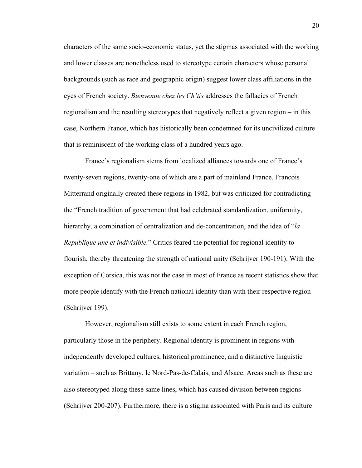characters of the same socio-economic status, yet the stigmas associated with the working and lower classes are nonetheless used to stereotype certain characters whose personal backgrounds (such as race and geographic origin) suggest lower class affiliations in the eyes of French society. *Bienvenue chez les Ch'tis* addresses the fallacies of French regionalism and the resulting stereotypes that negatively reflect a given region – in this case, Northern France, which has historically been condemned for its uncivilized culture that is reminiscent of the working class of a hundred years ago.

France's regionalism stems from localized alliances towards one of France's twenty-seven regions, twenty-one of which are a part of mainland France. Francois Mitterrand originally created these regions in 1982, but was criticized for contradicting the "French tradition of government that had celebrated standardization, uniformity, hierarchy, a combination of centralization and de-concentration, and the idea of "*la Republique une et indivisible.*" Critics feared the potential for regional identity to flourish, thereby threatening the strength of national unity (Schrijver 190-191). With the exception of Corsica, this was not the case in most of France as recent statistics show that more people identify with the French national identity than with their respective region (Schrijver 199).

However, regionalism still exists to some extent in each French region, particularly those in the periphery. Regional identity is prominent in regions with independently developed cultures, historical prominence, and a distinctive linguistic variation – such as Brittany, le Nord-Pas-de-Calais, and Alsace. Areas such as these are also stereotyped along these same lines, which has caused division between regions (Schrijver 200-207). Furthermore, there is a stigma associated with Paris and its culture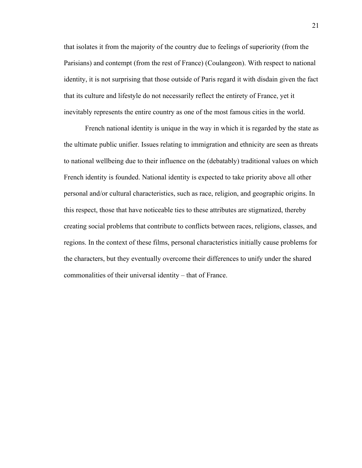that isolates it from the majority of the country due to feelings of superiority (from the Parisians) and contempt (from the rest of France) (Coulangeon). With respect to national identity, it is not surprising that those outside of Paris regard it with disdain given the fact that its culture and lifestyle do not necessarily reflect the entirety of France, yet it inevitably represents the entire country as one of the most famous cities in the world.

French national identity is unique in the way in which it is regarded by the state as the ultimate public unifier. Issues relating to immigration and ethnicity are seen as threats to national wellbeing due to their influence on the (debatably) traditional values on which French identity is founded. National identity is expected to take priority above all other personal and/or cultural characteristics, such as race, religion, and geographic origins. In this respect, those that have noticeable ties to these attributes are stigmatized, thereby creating social problems that contribute to conflicts between races, religions, classes, and regions. In the context of these films, personal characteristics initially cause problems for the characters, but they eventually overcome their differences to unify under the shared commonalities of their universal identity – that of France.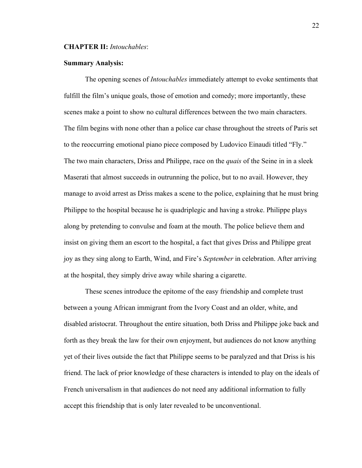### **CHAPTER II:** *Intouchables*:

#### **Summary Analysis:**

The opening scenes of *Intouchables* immediately attempt to evoke sentiments that fulfill the film's unique goals, those of emotion and comedy; more importantly, these scenes make a point to show no cultural differences between the two main characters. The film begins with none other than a police car chase throughout the streets of Paris set to the reoccurring emotional piano piece composed by Ludovico Einaudi titled "Fly." The two main characters, Driss and Philippe, race on the *quais* of the Seine in in a sleek Maserati that almost succeeds in outrunning the police, but to no avail. However, they manage to avoid arrest as Driss makes a scene to the police, explaining that he must bring Philippe to the hospital because he is quadriplegic and having a stroke. Philippe plays along by pretending to convulse and foam at the mouth. The police believe them and insist on giving them an escort to the hospital, a fact that gives Driss and Philippe great joy as they sing along to Earth, Wind, and Fire's *September* in celebration. After arriving at the hospital, they simply drive away while sharing a cigarette.

These scenes introduce the epitome of the easy friendship and complete trust between a young African immigrant from the Ivory Coast and an older, white, and disabled aristocrat. Throughout the entire situation, both Driss and Philippe joke back and forth as they break the law for their own enjoyment, but audiences do not know anything yet of their lives outside the fact that Philippe seems to be paralyzed and that Driss is his friend. The lack of prior knowledge of these characters is intended to play on the ideals of French universalism in that audiences do not need any additional information to fully accept this friendship that is only later revealed to be unconventional.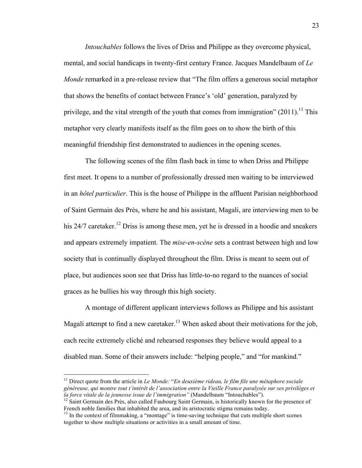*Intouchables* follows the lives of Driss and Philippe as they overcome physical, mental, and social handicaps in twenty-first century France. Jacques Mandelbaum of *Le Monde* remarked in a pre-release review that "The film offers a generous social metaphor that shows the benefits of contact between France's 'old' generation, paralyzed by privilege, and the vital strength of the youth that comes from immigration"  $(2011)$ .<sup>11</sup> This metaphor very clearly manifests itself as the film goes on to show the birth of this meaningful friendship first demonstrated to audiences in the opening scenes.

The following scenes of the film flash back in time to when Driss and Philippe first meet. It opens to a number of professionally dressed men waiting to be interviewed in an *hôtel particulier*. This is the house of Philippe in the affluent Parisian neighborhood of Saint Germain des Près, where he and his assistant, Magali, are interviewing men to be his 24/7 caretaker.<sup>12</sup> Driss is among these men, yet he is dressed in a hoodie and sneakers and appears extremely impatient. The *mise-en-scène* sets a contrast between high and low society that is continually displayed throughout the film. Driss is meant to seem out of place, but audiences soon see that Driss has little-to-no regard to the nuances of social graces as he bullies his way through this high society.

A montage of different applicant interviews follows as Philippe and his assistant Magali attempt to find a new caretaker.<sup>13</sup> When asked about their motivations for the job, each recite extremely cliché and rehearsed responses they believe would appeal to a disabled man. Some of their answers include: "helping people," and "for mankind."

 <sup>11</sup> Direct quote from the article in *Le Monde:* "*En deuxième rideau, le film file une métaphore sociale généreuse, qui montre tout t'intérêt de l'association entre la Vieille France paralysée sur ses privilèges et la force vitale de la jeunesse issue de l'immigration"* (Mandelbaum "Intouchables"). 12 Saint Germain des Près, also called Faubourg Saint Germain, is historically known for the presence of

French noble families that inhabited the area, and its aristocratic stigma remains today.

<sup>&</sup>lt;sup>13</sup> In the context of filmmaking, a "montage" is time-saving technique that cuts multiple short scenes together to show multiple situations or activities in a small amount of time.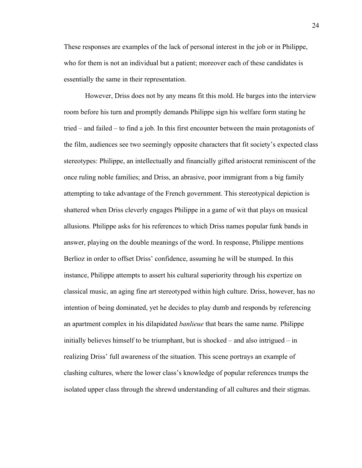These responses are examples of the lack of personal interest in the job or in Philippe, who for them is not an individual but a patient; moreover each of these candidates is essentially the same in their representation.

However, Driss does not by any means fit this mold. He barges into the interview room before his turn and promptly demands Philippe sign his welfare form stating he tried – and failed – to find a job. In this first encounter between the main protagonists of the film, audiences see two seemingly opposite characters that fit society's expected class stereotypes: Philippe, an intellectually and financially gifted aristocrat reminiscent of the once ruling noble families; and Driss, an abrasive, poor immigrant from a big family attempting to take advantage of the French government. This stereotypical depiction is shattered when Driss cleverly engages Philippe in a game of wit that plays on musical allusions. Philippe asks for his references to which Driss names popular funk bands in answer, playing on the double meanings of the word. In response, Philippe mentions Berlioz in order to offset Driss' confidence, assuming he will be stumped. In this instance, Philippe attempts to assert his cultural superiority through his expertize on classical music, an aging fine art stereotyped within high culture. Driss, however, has no intention of being dominated, yet he decides to play dumb and responds by referencing an apartment complex in his dilapidated *banlieue* that bears the same name. Philippe initially believes himself to be triumphant, but is shocked – and also intrigued – in realizing Driss' full awareness of the situation. This scene portrays an example of clashing cultures, where the lower class's knowledge of popular references trumps the isolated upper class through the shrewd understanding of all cultures and their stigmas.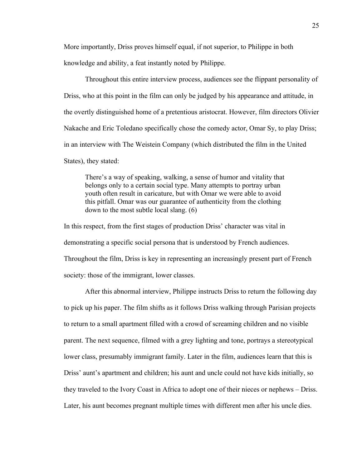More importantly, Driss proves himself equal, if not superior, to Philippe in both knowledge and ability, a feat instantly noted by Philippe.

Throughout this entire interview process, audiences see the flippant personality of Driss, who at this point in the film can only be judged by his appearance and attitude, in the overtly distinguished home of a pretentious aristocrat. However, film directors Olivier Nakache and Eric Toledano specifically chose the comedy actor, Omar Sy, to play Driss; in an interview with The Weistein Company (which distributed the film in the United States), they stated:

There's a way of speaking, walking, a sense of humor and vitality that belongs only to a certain social type. Many attempts to portray urban youth often result in caricature, but with Omar we were able to avoid this pitfall. Omar was our guarantee of authenticity from the clothing down to the most subtle local slang. (6)

In this respect, from the first stages of production Driss' character was vital in demonstrating a specific social persona that is understood by French audiences. Throughout the film, Driss is key in representing an increasingly present part of French society: those of the immigrant, lower classes.

After this abnormal interview, Philippe instructs Driss to return the following day to pick up his paper. The film shifts as it follows Driss walking through Parisian projects to return to a small apartment filled with a crowd of screaming children and no visible parent. The next sequence, filmed with a grey lighting and tone, portrays a stereotypical lower class, presumably immigrant family. Later in the film, audiences learn that this is Driss' aunt's apartment and children; his aunt and uncle could not have kids initially, so they traveled to the Ivory Coast in Africa to adopt one of their nieces or nephews – Driss. Later, his aunt becomes pregnant multiple times with different men after his uncle dies.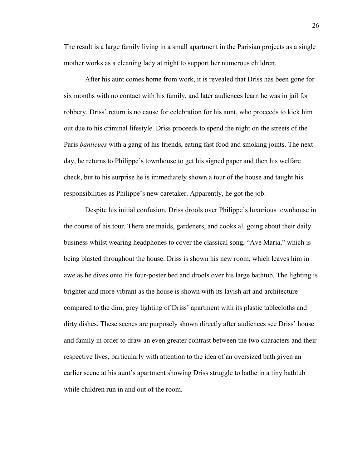The result is a large family living in a small apartment in the Parisian projects as a single mother works as a cleaning lady at night to support her numerous children.

After his aunt comes home from work, it is revealed that Driss has been gone for six months with no contact with his family, and later audiences learn he was in jail for robbery. Driss' return is no cause for celebration for his aunt, who proceeds to kick him out due to his criminal lifestyle. Driss proceeds to spend the night on the streets of the Paris *banlieues* with a gang of his friends, eating fast food and smoking joints. The next day, he returns to Philippe's townhouse to get his signed paper and then his welfare check, but to his surprise he is immediately shown a tour of the house and taught his responsibilities as Philippe's new caretaker. Apparently, he got the job.

Despite his initial confusion, Driss drools over Philippe's luxurious townhouse in the course of his tour. There are maids, gardeners, and cooks all going about their daily business whilst wearing headphones to cover the classical song, "Ave Maria," which is being blasted throughout the house. Driss is shown his new room, which leaves him in awe as he dives onto his four-poster bed and drools over his large bathtub. The lighting is brighter and more vibrant as the house is shown with its lavish art and architecture compared to the dim, grey lighting of Driss' apartment with its plastic tablecloths and dirty dishes. These scenes are purposely shown directly after audiences see Driss' house and family in order to draw an even greater contrast between the two characters and their respective lives, particularly with attention to the idea of an oversized bath given an earlier scene at his aunt's apartment showing Driss struggle to bathe in a tiny bathtub while children run in and out of the room.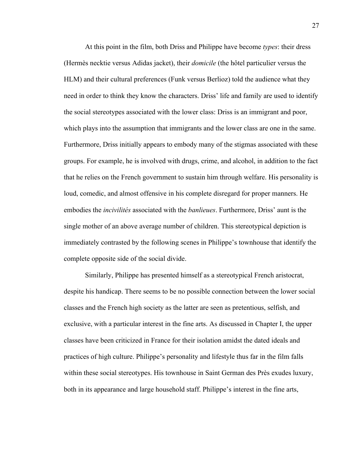At this point in the film, both Driss and Philippe have become *types*: their dress (Hermès necktie versus Adidas jacket), their *domicile* (the hôtel particulier versus the HLM) and their cultural preferences (Funk versus Berlioz) told the audience what they need in order to think they know the characters. Driss' life and family are used to identify the social stereotypes associated with the lower class: Driss is an immigrant and poor, which plays into the assumption that immigrants and the lower class are one in the same. Furthermore, Driss initially appears to embody many of the stigmas associated with these groups. For example, he is involved with drugs, crime, and alcohol, in addition to the fact that he relies on the French government to sustain him through welfare. His personality is loud, comedic, and almost offensive in his complete disregard for proper manners. He embodies the *incivilités* associated with the *banlieues*. Furthermore, Driss' aunt is the single mother of an above average number of children. This stereotypical depiction is immediately contrasted by the following scenes in Philippe's townhouse that identify the complete opposite side of the social divide.

Similarly, Philippe has presented himself as a stereotypical French aristocrat, despite his handicap. There seems to be no possible connection between the lower social classes and the French high society as the latter are seen as pretentious, selfish, and exclusive, with a particular interest in the fine arts. As discussed in Chapter I, the upper classes have been criticized in France for their isolation amidst the dated ideals and practices of high culture. Philippe's personality and lifestyle thus far in the film falls within these social stereotypes. His townhouse in Saint German des Près exudes luxury, both in its appearance and large household staff. Philippe's interest in the fine arts,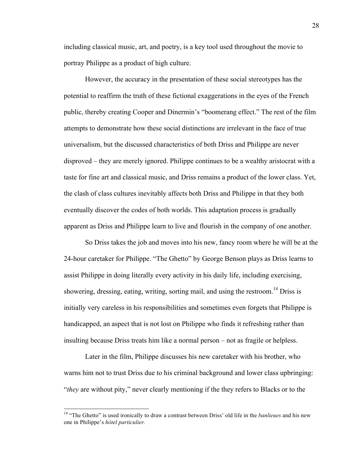including classical music, art, and poetry, is a key tool used throughout the movie to portray Philippe as a product of high culture.

However, the accuracy in the presentation of these social stereotypes has the potential to reaffirm the truth of these fictional exaggerations in the eyes of the French public, thereby creating Cooper and Dinermin's "boomerang effect." The rest of the film attempts to demonstrate how these social distinctions are irrelevant in the face of true universalism, but the discussed characteristics of both Driss and Philippe are never disproved – they are merely ignored. Philippe continues to be a wealthy aristocrat with a taste for fine art and classical music, and Driss remains a product of the lower class. Yet, the clash of class cultures inevitably affects both Driss and Philippe in that they both eventually discover the codes of both worlds. This adaptation process is gradually apparent as Driss and Philippe learn to live and flourish in the company of one another.

So Driss takes the job and moves into his new, fancy room where he will be at the 24-hour caretaker for Philippe. "The Ghetto" by George Benson plays as Driss learns to assist Philippe in doing literally every activity in his daily life, including exercising, showering, dressing, eating, writing, sorting mail, and using the restroom.<sup>14</sup> Driss is initially very careless in his responsibilities and sometimes even forgets that Philippe is handicapped, an aspect that is not lost on Philippe who finds it refreshing rather than insulting because Driss treats him like a normal person – not as fragile or helpless.

Later in the film, Philippe discusses his new caretaker with his brother, who warns him not to trust Driss due to his criminal background and lower class upbringing: "*they* are without pity," never clearly mentioning if the they refers to Blacks or to the

<sup>&</sup>lt;sup>14</sup> "The Ghetto" is used ironically to draw a contrast between Driss' old life in the *banlieues* and his new one in Philippe's *hôtel particulier.*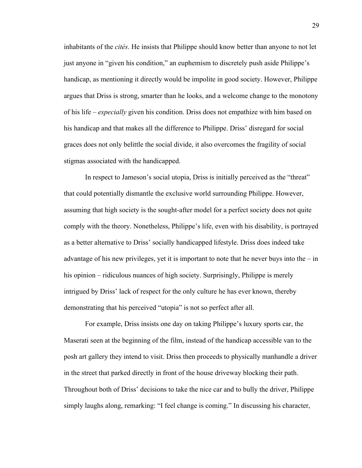inhabitants of the *cités*. He insists that Philippe should know better than anyone to not let just anyone in "given his condition," an euphemism to discretely push aside Philippe's handicap, as mentioning it directly would be impolite in good society. However, Philippe argues that Driss is strong, smarter than he looks, and a welcome change to the monotony of his life – *especially* given his condition. Driss does not empathize with him based on his handicap and that makes all the difference to Philippe. Driss' disregard for social graces does not only belittle the social divide, it also overcomes the fragility of social stigmas associated with the handicapped.

In respect to Jameson's social utopia, Driss is initially perceived as the "threat" that could potentially dismantle the exclusive world surrounding Philippe. However, assuming that high society is the sought-after model for a perfect society does not quite comply with the theory. Nonetheless, Philippe's life, even with his disability, is portrayed as a better alternative to Driss' socially handicapped lifestyle. Driss does indeed take advantage of his new privileges, yet it is important to note that he never buys into the  $-$  in his opinion – ridiculous nuances of high society. Surprisingly, Philippe is merely intrigued by Driss' lack of respect for the only culture he has ever known, thereby demonstrating that his perceived "utopia" is not so perfect after all.

For example, Driss insists one day on taking Philippe's luxury sports car, the Maserati seen at the beginning of the film, instead of the handicap accessible van to the posh art gallery they intend to visit. Driss then proceeds to physically manhandle a driver in the street that parked directly in front of the house driveway blocking their path. Throughout both of Driss' decisions to take the nice car and to bully the driver, Philippe simply laughs along, remarking: "I feel change is coming." In discussing his character,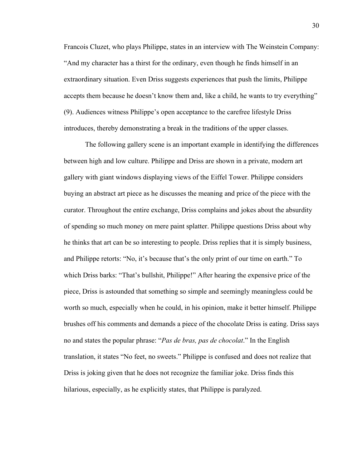Francois Cluzet, who plays Philippe, states in an interview with The Weinstein Company: "And my character has a thirst for the ordinary, even though he finds himself in an extraordinary situation. Even Driss suggests experiences that push the limits, Philippe accepts them because he doesn't know them and, like a child, he wants to try everything" (9). Audiences witness Philippe's open acceptance to the carefree lifestyle Driss introduces, thereby demonstrating a break in the traditions of the upper classes.

The following gallery scene is an important example in identifying the differences between high and low culture. Philippe and Driss are shown in a private, modern art gallery with giant windows displaying views of the Eiffel Tower. Philippe considers buying an abstract art piece as he discusses the meaning and price of the piece with the curator. Throughout the entire exchange, Driss complains and jokes about the absurdity of spending so much money on mere paint splatter. Philippe questions Driss about why he thinks that art can be so interesting to people. Driss replies that it is simply business, and Philippe retorts: "No, it's because that's the only print of our time on earth." To which Driss barks: "That's bullshit, Philippe!" After hearing the expensive price of the piece, Driss is astounded that something so simple and seemingly meaningless could be worth so much, especially when he could, in his opinion, make it better himself. Philippe brushes off his comments and demands a piece of the chocolate Driss is eating. Driss says no and states the popular phrase: "*Pas de bras, pas de chocolat*." In the English translation, it states "No feet, no sweets." Philippe is confused and does not realize that Driss is joking given that he does not recognize the familiar joke. Driss finds this hilarious, especially, as he explicitly states, that Philippe is paralyzed.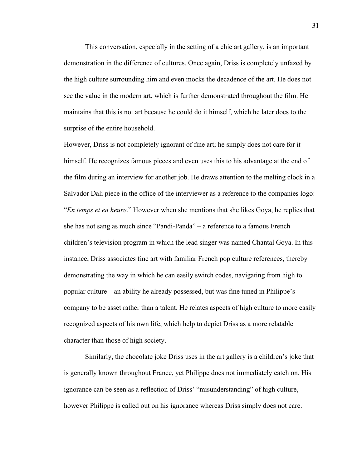This conversation, especially in the setting of a chic art gallery, is an important demonstration in the difference of cultures. Once again, Driss is completely unfazed by the high culture surrounding him and even mocks the decadence of the art. He does not see the value in the modern art, which is further demonstrated throughout the film. He maintains that this is not art because he could do it himself, which he later does to the surprise of the entire household.

However, Driss is not completely ignorant of fine art; he simply does not care for it himself. He recognizes famous pieces and even uses this to his advantage at the end of the film during an interview for another job. He draws attention to the melting clock in a Salvador Dali piece in the office of the interviewer as a reference to the companies logo: "*En temps et en heure*." However when she mentions that she likes Goya, he replies that she has not sang as much since "Pandi-Panda" – a reference to a famous French children's television program in which the lead singer was named Chantal Goya. In this instance, Driss associates fine art with familiar French pop culture references, thereby demonstrating the way in which he can easily switch codes, navigating from high to popular culture – an ability he already possessed, but was fine tuned in Philippe's company to be asset rather than a talent. He relates aspects of high culture to more easily recognized aspects of his own life, which help to depict Driss as a more relatable character than those of high society.

Similarly, the chocolate joke Driss uses in the art gallery is a children's joke that is generally known throughout France, yet Philippe does not immediately catch on. His ignorance can be seen as a reflection of Driss' "misunderstanding" of high culture, however Philippe is called out on his ignorance whereas Driss simply does not care.

31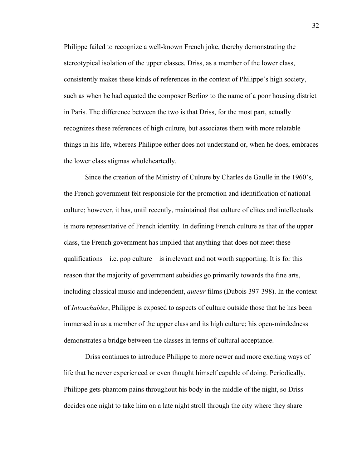Philippe failed to recognize a well-known French joke, thereby demonstrating the stereotypical isolation of the upper classes. Driss, as a member of the lower class, consistently makes these kinds of references in the context of Philippe's high society, such as when he had equated the composer Berlioz to the name of a poor housing district in Paris. The difference between the two is that Driss, for the most part, actually recognizes these references of high culture, but associates them with more relatable things in his life, whereas Philippe either does not understand or, when he does, embraces the lower class stigmas wholeheartedly.

Since the creation of the Ministry of Culture by Charles de Gaulle in the 1960's, the French government felt responsible for the promotion and identification of national culture; however, it has, until recently, maintained that culture of elites and intellectuals is more representative of French identity. In defining French culture as that of the upper class, the French government has implied that anything that does not meet these qualifications  $-$  i.e. pop culture  $-$  is irrelevant and not worth supporting. It is for this reason that the majority of government subsidies go primarily towards the fine arts, including classical music and independent, *auteur* films (Dubois 397-398). In the context of *Intouchables*, Philippe is exposed to aspects of culture outside those that he has been immersed in as a member of the upper class and its high culture; his open-mindedness demonstrates a bridge between the classes in terms of cultural acceptance.

Driss continues to introduce Philippe to more newer and more exciting ways of life that he never experienced or even thought himself capable of doing. Periodically, Philippe gets phantom pains throughout his body in the middle of the night, so Driss decides one night to take him on a late night stroll through the city where they share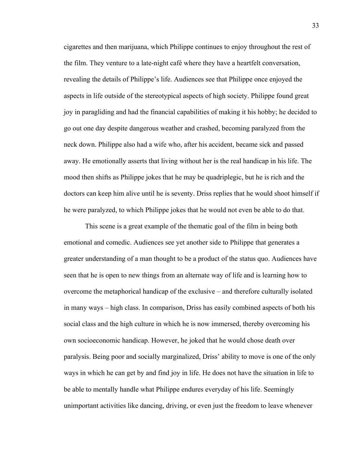cigarettes and then marijuana, which Philippe continues to enjoy throughout the rest of the film. They venture to a late-night café where they have a heartfelt conversation, revealing the details of Philippe's life. Audiences see that Philippe once enjoyed the aspects in life outside of the stereotypical aspects of high society. Philippe found great joy in paragliding and had the financial capabilities of making it his hobby; he decided to go out one day despite dangerous weather and crashed, becoming paralyzed from the neck down. Philippe also had a wife who, after his accident, became sick and passed away. He emotionally asserts that living without her is the real handicap in his life. The mood then shifts as Philippe jokes that he may be quadriplegic, but he is rich and the doctors can keep him alive until he is seventy. Driss replies that he would shoot himself if he were paralyzed, to which Philippe jokes that he would not even be able to do that.

This scene is a great example of the thematic goal of the film in being both emotional and comedic. Audiences see yet another side to Philippe that generates a greater understanding of a man thought to be a product of the status quo. Audiences have seen that he is open to new things from an alternate way of life and is learning how to overcome the metaphorical handicap of the exclusive – and therefore culturally isolated in many ways – high class. In comparison, Driss has easily combined aspects of both his social class and the high culture in which he is now immersed, thereby overcoming his own socioeconomic handicap. However, he joked that he would chose death over paralysis. Being poor and socially marginalized, Driss' ability to move is one of the only ways in which he can get by and find joy in life. He does not have the situation in life to be able to mentally handle what Philippe endures everyday of his life. Seemingly unimportant activities like dancing, driving, or even just the freedom to leave whenever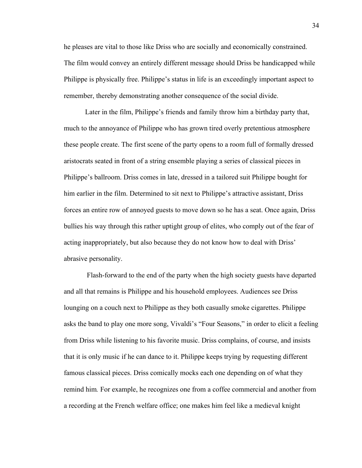he pleases are vital to those like Driss who are socially and economically constrained. The film would convey an entirely different message should Driss be handicapped while Philippe is physically free. Philippe's status in life is an exceedingly important aspect to remember, thereby demonstrating another consequence of the social divide.

Later in the film, Philippe's friends and family throw him a birthday party that, much to the annoyance of Philippe who has grown tired overly pretentious atmosphere these people create. The first scene of the party opens to a room full of formally dressed aristocrats seated in front of a string ensemble playing a series of classical pieces in Philippe's ballroom. Driss comes in late, dressed in a tailored suit Philippe bought for him earlier in the film. Determined to sit next to Philippe's attractive assistant, Driss forces an entire row of annoyed guests to move down so he has a seat. Once again, Driss bullies his way through this rather uptight group of elites, who comply out of the fear of acting inappropriately, but also because they do not know how to deal with Driss' abrasive personality.

Flash-forward to the end of the party when the high society guests have departed and all that remains is Philippe and his household employees. Audiences see Driss lounging on a couch next to Philippe as they both casually smoke cigarettes. Philippe asks the band to play one more song, Vivaldi's "Four Seasons," in order to elicit a feeling from Driss while listening to his favorite music. Driss complains, of course, and insists that it is only music if he can dance to it. Philippe keeps trying by requesting different famous classical pieces. Driss comically mocks each one depending on of what they remind him*.* For example, he recognizes one from a coffee commercial and another from a recording at the French welfare office; one makes him feel like a medieval knight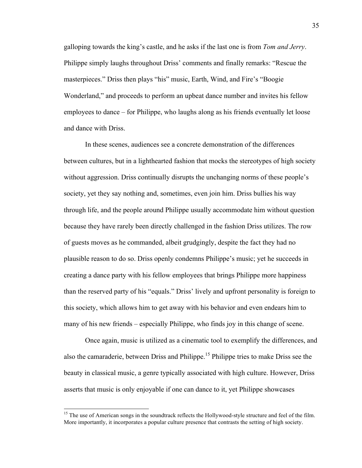galloping towards the king's castle, and he asks if the last one is from *Tom and Jerry*. Philippe simply laughs throughout Driss' comments and finally remarks: "Rescue the masterpieces." Driss then plays "his" music, Earth, Wind, and Fire's "Boogie Wonderland," and proceeds to perform an upbeat dance number and invites his fellow employees to dance – for Philippe, who laughs along as his friends eventually let loose and dance with Driss.

In these scenes, audiences see a concrete demonstration of the differences between cultures, but in a lighthearted fashion that mocks the stereotypes of high society without aggression. Driss continually disrupts the unchanging norms of these people's society, yet they say nothing and, sometimes, even join him. Driss bullies his way through life, and the people around Philippe usually accommodate him without question because they have rarely been directly challenged in the fashion Driss utilizes. The row of guests moves as he commanded, albeit grudgingly, despite the fact they had no plausible reason to do so. Driss openly condemns Philippe's music; yet he succeeds in creating a dance party with his fellow employees that brings Philippe more happiness than the reserved party of his "equals." Driss' lively and upfront personality is foreign to this society, which allows him to get away with his behavior and even endears him to many of his new friends – especially Philippe, who finds joy in this change of scene.

Once again, music is utilized as a cinematic tool to exemplify the differences, and also the camaraderie, between Driss and Philippe.<sup>15</sup> Philippe tries to make Driss see the beauty in classical music, a genre typically associated with high culture. However, Driss asserts that music is only enjoyable if one can dance to it, yet Philippe showcases

<sup>&</sup>lt;sup>15</sup> The use of American songs in the soundtrack reflects the Hollywood-style structure and feel of the film. More importantly, it incorporates a popular culture presence that contrasts the setting of high society.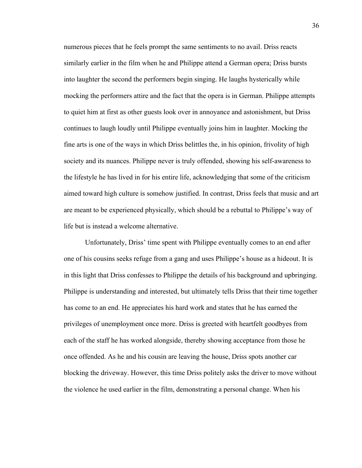numerous pieces that he feels prompt the same sentiments to no avail. Driss reacts similarly earlier in the film when he and Philippe attend a German opera; Driss bursts into laughter the second the performers begin singing. He laughs hysterically while mocking the performers attire and the fact that the opera is in German. Philippe attempts to quiet him at first as other guests look over in annoyance and astonishment, but Driss continues to laugh loudly until Philippe eventually joins him in laughter. Mocking the fine arts is one of the ways in which Driss belittles the, in his opinion, frivolity of high society and its nuances. Philippe never is truly offended, showing his self-awareness to the lifestyle he has lived in for his entire life, acknowledging that some of the criticism aimed toward high culture is somehow justified. In contrast, Driss feels that music and art are meant to be experienced physically, which should be a rebuttal to Philippe's way of life but is instead a welcome alternative.

Unfortunately, Driss' time spent with Philippe eventually comes to an end after one of his cousins seeks refuge from a gang and uses Philippe's house as a hideout. It is in this light that Driss confesses to Philippe the details of his background and upbringing. Philippe is understanding and interested, but ultimately tells Driss that their time together has come to an end. He appreciates his hard work and states that he has earned the privileges of unemployment once more. Driss is greeted with heartfelt goodbyes from each of the staff he has worked alongside, thereby showing acceptance from those he once offended. As he and his cousin are leaving the house, Driss spots another car blocking the driveway. However, this time Driss politely asks the driver to move without the violence he used earlier in the film, demonstrating a personal change. When his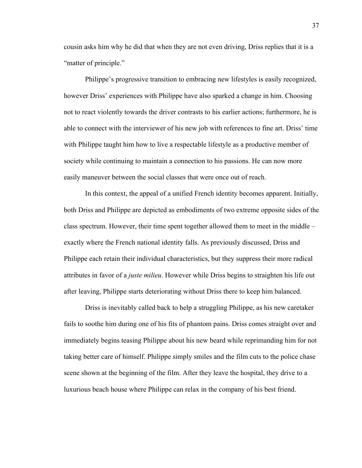cousin asks him why he did that when they are not even driving, Driss replies that it is a "matter of principle."

Philippe's progressive transition to embracing new lifestyles is easily recognized, however Driss' experiences with Philippe have also sparked a change in him. Choosing not to react violently towards the driver contrasts to his earlier actions; furthermore, he is able to connect with the interviewer of his new job with references to fine art. Driss' time with Philippe taught him how to live a respectable lifestyle as a productive member of society while continuing to maintain a connection to his passions. He can now more easily maneuver between the social classes that were once out of reach.

In this context, the appeal of a unified French identity becomes apparent. Initially, both Driss and Philippe are depicted as embodiments of two extreme opposite sides of the class spectrum. However, their time spent together allowed them to meet in the middle – exactly where the French national identity falls. As previously discussed, Driss and Philippe each retain their individual characteristics, but they suppress their more radical attributes in favor of a *juste milieu*. However while Driss begins to straighten his life out after leaving, Philippe starts deteriorating without Driss there to keep him balanced.

Driss is inevitably called back to help a struggling Philippe, as his new caretaker fails to soothe him during one of his fits of phantom pains. Driss comes straight over and immediately begins teasing Philippe about his new beard while reprimanding him for not taking better care of himself. Philippe simply smiles and the film cuts to the police chase scene shown at the beginning of the film. After they leave the hospital, they drive to a luxurious beach house where Philippe can relax in the company of his best friend.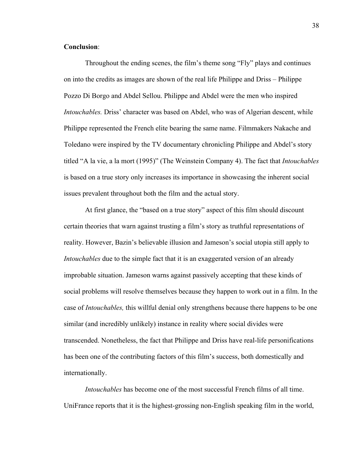# **Conclusion**:

Throughout the ending scenes, the film's theme song "Fly" plays and continues on into the credits as images are shown of the real life Philippe and Driss – Philippe Pozzo Di Borgo and Abdel Sellou. Philippe and Abdel were the men who inspired *Intouchables.* Driss' character was based on Abdel, who was of Algerian descent, while Philippe represented the French elite bearing the same name. Filmmakers Nakache and Toledano were inspired by the TV documentary chronicling Philippe and Abdel's story titled "A la vie, a la mort (1995)" (The Weinstein Company 4). The fact that *Intouchables* is based on a true story only increases its importance in showcasing the inherent social issues prevalent throughout both the film and the actual story.

At first glance, the "based on a true story" aspect of this film should discount certain theories that warn against trusting a film's story as truthful representations of reality. However, Bazin's believable illusion and Jameson's social utopia still apply to *Intouchables* due to the simple fact that it is an exaggerated version of an already improbable situation. Jameson warns against passively accepting that these kinds of social problems will resolve themselves because they happen to work out in a film. In the case of *Intouchables,* this willful denial only strengthens because there happens to be one similar (and incredibly unlikely) instance in reality where social divides were transcended. Nonetheless, the fact that Philippe and Driss have real-life personifications has been one of the contributing factors of this film's success, both domestically and internationally.

*Intouchables* has become one of the most successful French films of all time. UniFrance reports that it is the highest-grossing non-English speaking film in the world,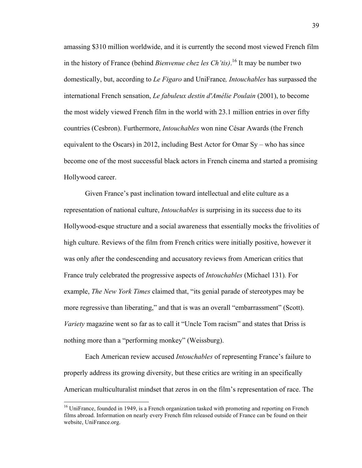amassing \$310 million worldwide, and it is currently the second most viewed French film in the history of France (behind *Bienvenue chez les Ch'tis)*. <sup>16</sup> It may be number two domestically, but, according to *Le Figaro* and UniFrance*, Intouchables* has surpassed the international French sensation, *Le fabuleux destin d'Amélie Poulain* (2001), to become the most widely viewed French film in the world with 23.1 million entries in over fifty countries (Cesbron). Furthermore, *Intouchables* won nine César Awards (the French equivalent to the Oscars) in 2012, including Best Actor for Omar Sy – who has since become one of the most successful black actors in French cinema and started a promising Hollywood career.

Given France's past inclination toward intellectual and elite culture as a representation of national culture, *Intouchables* is surprising in its success due to its Hollywood-esque structure and a social awareness that essentially mocks the frivolities of high culture. Reviews of the film from French critics were initially positive, however it was only after the condescending and accusatory reviews from American critics that France truly celebrated the progressive aspects of *Intouchables* (Michael 131)*.* For example, *The New York Times* claimed that, "its genial parade of stereotypes may be more regressive than liberating," and that is was an overall "embarrassment" (Scott). *Variety* magazine went so far as to call it "Uncle Tom racism" and states that Driss is nothing more than a "performing monkey" (Weissburg).

Each American review accused *Intouchables* of representing France's failure to properly address its growing diversity, but these critics are writing in an specifically American multiculturalist mindset that zeros in on the film's representation of race. The

<sup>&</sup>lt;sup>16</sup> UniFrance, founded in 1949, is a French organization tasked with promoting and reporting on French films abroad. Information on nearly every French film released outside of France can be found on their website, UniFrance.org.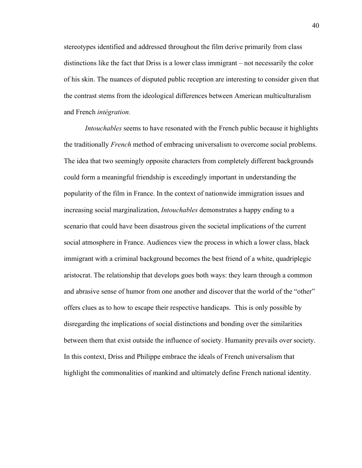stereotypes identified and addressed throughout the film derive primarily from class distinctions like the fact that Driss is a lower class immigrant – not necessarily the color of his skin. The nuances of disputed public reception are interesting to consider given that the contrast stems from the ideological differences between American multiculturalism and French *intégration.* 

*Intouchables* seems to have resonated with the French public because it highlights the traditionally *French* method of embracing universalism to overcome social problems. The idea that two seemingly opposite characters from completely different backgrounds could form a meaningful friendship is exceedingly important in understanding the popularity of the film in France. In the context of nationwide immigration issues and increasing social marginalization, *Intouchables* demonstrates a happy ending to a scenario that could have been disastrous given the societal implications of the current social atmosphere in France. Audiences view the process in which a lower class, black immigrant with a criminal background becomes the best friend of a white, quadriplegic aristocrat. The relationship that develops goes both ways: they learn through a common and abrasive sense of humor from one another and discover that the world of the "other" offers clues as to how to escape their respective handicaps. This is only possible by disregarding the implications of social distinctions and bonding over the similarities between them that exist outside the influence of society. Humanity prevails over society. In this context, Driss and Philippe embrace the ideals of French universalism that highlight the commonalities of mankind and ultimately define French national identity.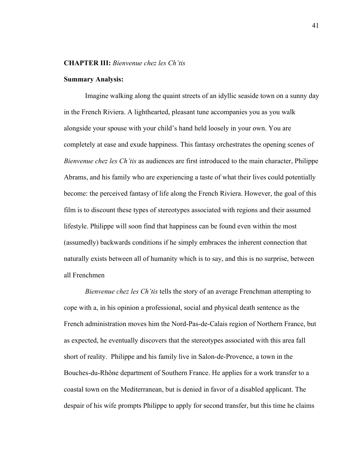## **CHAPTER III:** *Bienvenue chez les Ch'tis*

#### **Summary Analysis:**

Imagine walking along the quaint streets of an idyllic seaside town on a sunny day in the French Riviera. A lighthearted, pleasant tune accompanies you as you walk alongside your spouse with your child's hand held loosely in your own. You are completely at ease and exude happiness. This fantasy orchestrates the opening scenes of *Bienvenue chez les Ch'tis* as audiences are first introduced to the main character, Philippe Abrams, and his family who are experiencing a taste of what their lives could potentially become: the perceived fantasy of life along the French Riviera. However, the goal of this film is to discount these types of stereotypes associated with regions and their assumed lifestyle. Philippe will soon find that happiness can be found even within the most (assumedly) backwards conditions if he simply embraces the inherent connection that naturally exists between all of humanity which is to say, and this is no surprise, between all Frenchmen

*Bienvenue chez les Ch'tis* tells the story of an average Frenchman attempting to cope with a, in his opinion a professional, social and physical death sentence as the French administration moves him the Nord-Pas-de-Calais region of Northern France, but as expected, he eventually discovers that the stereotypes associated with this area fall short of reality. Philippe and his family live in Salon-de-Provence, a town in the Bouches-du-Rhône department of Southern France. He applies for a work transfer to a coastal town on the Mediterranean, but is denied in favor of a disabled applicant. The despair of his wife prompts Philippe to apply for second transfer, but this time he claims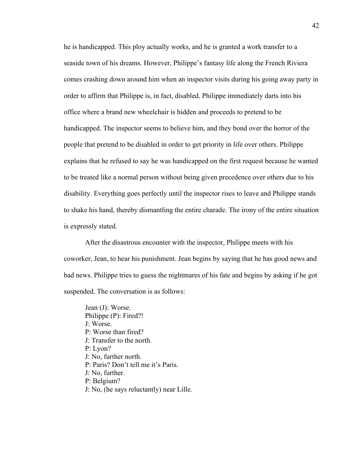he is handicapped. This ploy actually works, and he is granted a work transfer to a seaside town of his dreams. However, Philippe's fantasy life along the French Riviera comes crashing down around him when an inspector visits during his going away party in order to affirm that Philippe is, in fact, disabled. Philippe immediately darts into his office where a brand new wheelchair is hidden and proceeds to pretend to be handicapped. The inspector seems to believe him, and they bond over the horror of the people that pretend to be disabled in order to get priority in life over others. Philippe explains that he refused to say he was handicapped on the first request because he wanted to be treated like a normal person without being given precedence over others due to his disability. Everything goes perfectly until the inspector rises to leave and Philippe stands to shake his hand, thereby dismantling the entire charade. The irony of the entire situation is expressly stated.

After the disastrous encounter with the inspector, Philippe meets with his coworker, Jean, to hear his punishment. Jean begins by saying that he has good news and bad news. Philippe tries to guess the nightmares of his fate and begins by asking if he got suspended. The conversation is as follows:

Jean (J): Worse. Philippe (P): Fired?! J: Worse. P: Worse than fired? J: Transfer to the north. P: Lyon? J: No, further north. P: Paris? Don't tell me it's Paris. J: No, further. P: Belgium? J: No, (he says reluctantly) near Lille.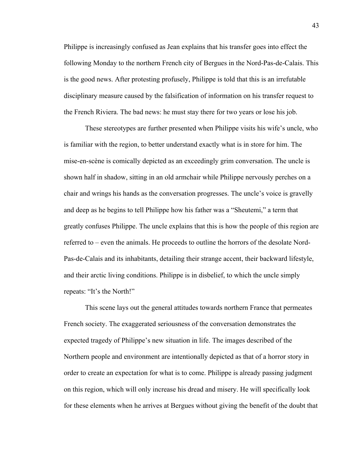Philippe is increasingly confused as Jean explains that his transfer goes into effect the following Monday to the northern French city of Bergues in the Nord-Pas-de-Calais. This is the good news. After protesting profusely, Philippe is told that this is an irrefutable disciplinary measure caused by the falsification of information on his transfer request to the French Riviera. The bad news: he must stay there for two years or lose his job.

These stereotypes are further presented when Philippe visits his wife's uncle, who is familiar with the region, to better understand exactly what is in store for him. The mise-en-scène is comically depicted as an exceedingly grim conversation. The uncle is shown half in shadow, sitting in an old armchair while Philippe nervously perches on a chair and wrings his hands as the conversation progresses. The uncle's voice is gravelly and deep as he begins to tell Philippe how his father was a "Sheutemi," a term that greatly confuses Philippe. The uncle explains that this is how the people of this region are referred to – even the animals. He proceeds to outline the horrors of the desolate Nord-Pas-de-Calais and its inhabitants, detailing their strange accent, their backward lifestyle, and their arctic living conditions. Philippe is in disbelief, to which the uncle simply repeats: "It's the North!"

This scene lays out the general attitudes towards northern France that permeates French society. The exaggerated seriousness of the conversation demonstrates the expected tragedy of Philippe's new situation in life. The images described of the Northern people and environment are intentionally depicted as that of a horror story in order to create an expectation for what is to come. Philippe is already passing judgment on this region, which will only increase his dread and misery. He will specifically look for these elements when he arrives at Bergues without giving the benefit of the doubt that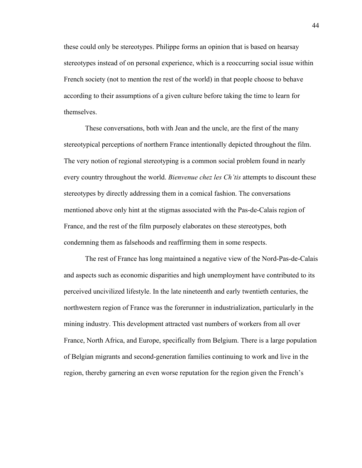these could only be stereotypes. Philippe forms an opinion that is based on hearsay stereotypes instead of on personal experience, which is a reoccurring social issue within French society (not to mention the rest of the world) in that people choose to behave according to their assumptions of a given culture before taking the time to learn for themselves.

These conversations, both with Jean and the uncle, are the first of the many stereotypical perceptions of northern France intentionally depicted throughout the film. The very notion of regional stereotyping is a common social problem found in nearly every country throughout the world. *Bienvenue chez les Ch'tis* attempts to discount these stereotypes by directly addressing them in a comical fashion. The conversations mentioned above only hint at the stigmas associated with the Pas-de-Calais region of France, and the rest of the film purposely elaborates on these stereotypes, both condemning them as falsehoods and reaffirming them in some respects.

The rest of France has long maintained a negative view of the Nord-Pas-de-Calais and aspects such as economic disparities and high unemployment have contributed to its perceived uncivilized lifestyle. In the late nineteenth and early twentieth centuries, the northwestern region of France was the forerunner in industrialization, particularly in the mining industry. This development attracted vast numbers of workers from all over France, North Africa, and Europe, specifically from Belgium. There is a large population of Belgian migrants and second-generation families continuing to work and live in the region, thereby garnering an even worse reputation for the region given the French's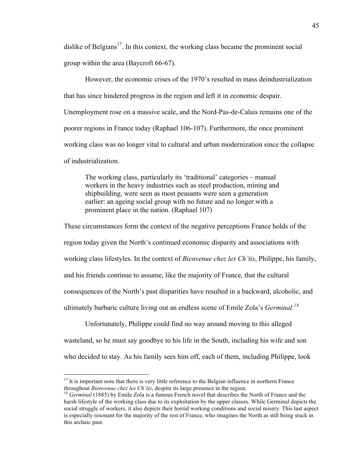dislike of Belgians<sup>17</sup>. In this context, the working class became the prominent social group within the area (Baycroft 66-67).

However, the economic crises of the 1970's resulted in mass deindustrialization that has since hindered progress in the region and left it in economic despair. Unemployment rose on a massive scale, and the Nord-Pas-de-Calais remains one of the poorer regions in France today (Raphael 106-107). Furthermore, the once prominent working class was no longer vital to cultural and urban modernization since the collapse of industrialization.

The working class, particularly its 'traditional' categories – manual workers in the heavy industries such as steel production, mining and shipbuilding, were seen as most peasants were seen a generation earlier: an ageing social group with no future and no longer with a prominent place in the nation. (Raphael 107)

These circumstances form the context of the negative perceptions France holds of the region today given the North's continued economic disparity and associations with working class lifestyles. In the context of *Bienvenue chez les Ch'tis*, Philippe, his family, and his friends continue to assume, like the majority of France, that the cultural consequences of the North's past disparities have resulted in a backward, alcoholic, and ultimately barbaric culture living out an endless scene of Emile Zola's *Germinal.<sup>18</sup>*

Unfortunately, Philippe could find no way around moving to this alleged wasteland, so he must say goodbye to his life in the South, including his wife and son who decided to stay. As his family sees him off, each of them, including Philippe, look

<sup>&</sup>lt;sup>17</sup> It is important note that there is very little reference to the Belgian influence in northern France throughout *Bienvenue chez les Ch'tis*, despite its large presence in the region.

<sup>&</sup>lt;sup>18</sup> *Germinal* (1885) by Emile Zola is a famous French novel that describes the North of France and the harsh lifestyle of the working class due to its exploitation by the upper classes. While Germinal depicts the social struggle of workers, it also depicts their horrid working conditions and social misery. This last aspect is especially resonant for the majority of the rest of France, who imagines the North as still being stuck in this archaic past.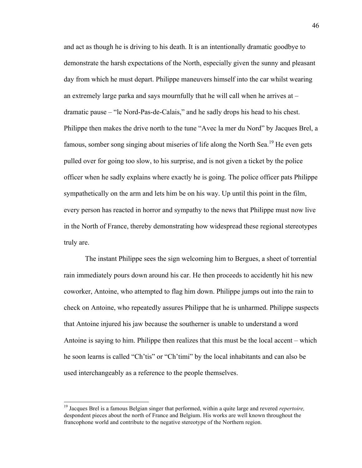and act as though he is driving to his death. It is an intentionally dramatic goodbye to demonstrate the harsh expectations of the North, especially given the sunny and pleasant day from which he must depart. Philippe maneuvers himself into the car whilst wearing an extremely large parka and says mournfully that he will call when he arrives at – dramatic pause – "le Nord-Pas-de-Calais," and he sadly drops his head to his chest. Philippe then makes the drive north to the tune "Avec la mer du Nord" by Jacques Brel, a famous, somber song singing about miseries of life along the North Sea.<sup>19</sup> He even gets pulled over for going too slow, to his surprise, and is not given a ticket by the police officer when he sadly explains where exactly he is going. The police officer pats Philippe sympathetically on the arm and lets him be on his way. Up until this point in the film, every person has reacted in horror and sympathy to the news that Philippe must now live in the North of France, thereby demonstrating how widespread these regional stereotypes truly are.

The instant Philippe sees the sign welcoming him to Bergues, a sheet of torrential rain immediately pours down around his car. He then proceeds to accidently hit his new coworker, Antoine, who attempted to flag him down. Philippe jumps out into the rain to check on Antoine, who repeatedly assures Philippe that he is unharmed. Philippe suspects that Antoine injured his jaw because the southerner is unable to understand a word Antoine is saying to him. Philippe then realizes that this must be the local accent – which he soon learns is called "Ch'tis" or "Ch'timi" by the local inhabitants and can also be used interchangeably as a reference to the people themselves.

 <sup>19</sup> Jacques Brel is a famous Belgian singer that performed, within a quite large and revered *repertoire,* despondent pieces about the north of France and Belgium. His works are well known throughout the francophone world and contribute to the negative stereotype of the Northern region.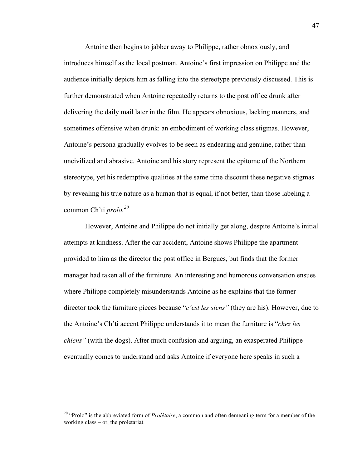Antoine then begins to jabber away to Philippe, rather obnoxiously, and introduces himself as the local postman. Antoine's first impression on Philippe and the audience initially depicts him as falling into the stereotype previously discussed. This is further demonstrated when Antoine repeatedly returns to the post office drunk after delivering the daily mail later in the film. He appears obnoxious, lacking manners, and sometimes offensive when drunk: an embodiment of working class stigmas. However, Antoine's persona gradually evolves to be seen as endearing and genuine, rather than uncivilized and abrasive. Antoine and his story represent the epitome of the Northern stereotype, yet his redemptive qualities at the same time discount these negative stigmas by revealing his true nature as a human that is equal, if not better, than those labeling a common Ch'ti *prolo.<sup>20</sup>*

However, Antoine and Philippe do not initially get along, despite Antoine's initial attempts at kindness. After the car accident, Antoine shows Philippe the apartment provided to him as the director the post office in Bergues, but finds that the former manager had taken all of the furniture. An interesting and humorous conversation ensues where Philippe completely misunderstands Antoine as he explains that the former director took the furniture pieces because "*c'est les siens"* (they are his). However, due to the Antoine's Ch'ti accent Philippe understands it to mean the furniture is "*chez les chiens"* (with the dogs). After much confusion and arguing, an exasperated Philippe eventually comes to understand and asks Antoine if everyone here speaks in such a

 <sup>20</sup> "Prolo" is the abbreviated form of *Prolétaire*, a common and often demeaning term for a member of the working class – or, the proletariat.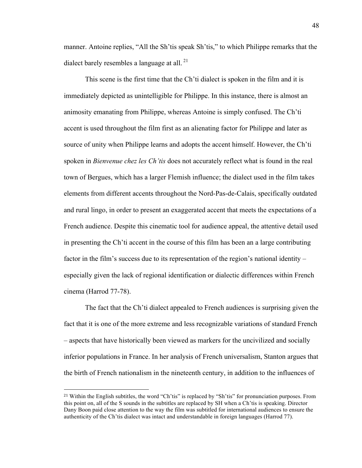manner. Antoine replies, "All the Sh'tis speak Sh'tis," to which Philippe remarks that the dialect barely resembles a language at all.<sup>21</sup>

This scene is the first time that the Ch'ti dialect is spoken in the film and it is immediately depicted as unintelligible for Philippe. In this instance, there is almost an animosity emanating from Philippe, whereas Antoine is simply confused. The Ch'ti accent is used throughout the film first as an alienating factor for Philippe and later as source of unity when Philippe learns and adopts the accent himself. However, the Ch'ti spoken in *Bienvenue chez les Ch'tis* does not accurately reflect what is found in the real town of Bergues, which has a larger Flemish influence; the dialect used in the film takes elements from different accents throughout the Nord-Pas-de-Calais, specifically outdated and rural lingo, in order to present an exaggerated accent that meets the expectations of a French audience. Despite this cinematic tool for audience appeal, the attentive detail used in presenting the Ch'ti accent in the course of this film has been an a large contributing factor in the film's success due to its representation of the region's national identity – especially given the lack of regional identification or dialectic differences within French cinema (Harrod 77-78).

The fact that the Ch'ti dialect appealed to French audiences is surprising given the fact that it is one of the more extreme and less recognizable variations of standard French – aspects that have historically been viewed as markers for the uncivilized and socially inferior populations in France. In her analysis of French universalism, Stanton argues that the birth of French nationalism in the nineteenth century, in addition to the influences of

 

48

<sup>21</sup> Within the English subtitles, the word "Ch'tis" is replaced by "Sh'tis" for pronunciation purposes. From this point on, all of the S sounds in the subtitles are replaced by SH when a Ch'tis is speaking. Director Dany Boon paid close attention to the way the film was subtitled for international audiences to ensure the authenticity of the Ch'tis dialect was intact and understandable in foreign languages (Harrod 77).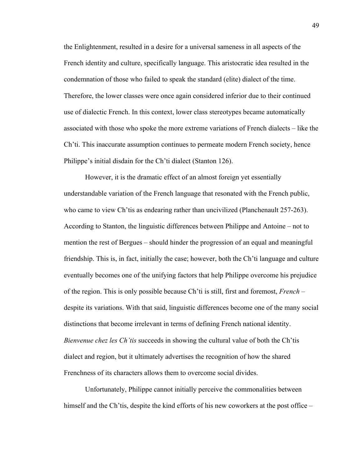the Enlightenment, resulted in a desire for a universal sameness in all aspects of the French identity and culture, specifically language. This aristocratic idea resulted in the condemnation of those who failed to speak the standard (elite) dialect of the time. Therefore, the lower classes were once again considered inferior due to their continued use of dialectic French. In this context, lower class stereotypes became automatically associated with those who spoke the more extreme variations of French dialects – like the Ch'ti. This inaccurate assumption continues to permeate modern French society, hence Philippe's initial disdain for the Ch'ti dialect (Stanton 126).

However, it is the dramatic effect of an almost foreign yet essentially understandable variation of the French language that resonated with the French public, who came to view Ch'tis as endearing rather than uncivilized (Planchenault 257-263). According to Stanton, the linguistic differences between Philippe and Antoine – not to mention the rest of Bergues – should hinder the progression of an equal and meaningful friendship. This is, in fact, initially the case; however, both the Ch'ti language and culture eventually becomes one of the unifying factors that help Philippe overcome his prejudice of the region. This is only possible because Ch'ti is still, first and foremost, *French* – despite its variations. With that said, linguistic differences become one of the many social distinctions that become irrelevant in terms of defining French national identity. *Bienvenue chez les Ch'tis* succeeds in showing the cultural value of both the Ch'tis dialect and region, but it ultimately advertises the recognition of how the shared Frenchness of its characters allows them to overcome social divides.

Unfortunately, Philippe cannot initially perceive the commonalities between himself and the Ch'tis, despite the kind efforts of his new coworkers at the post office –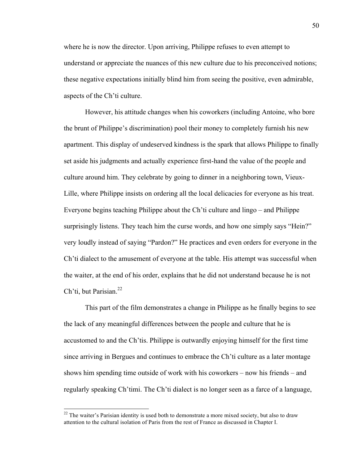where he is now the director. Upon arriving, Philippe refuses to even attempt to understand or appreciate the nuances of this new culture due to his preconceived notions; these negative expectations initially blind him from seeing the positive, even admirable, aspects of the Ch'ti culture.

However, his attitude changes when his coworkers (including Antoine, who bore the brunt of Philippe's discrimination) pool their money to completely furnish his new apartment. This display of undeserved kindness is the spark that allows Philippe to finally set aside his judgments and actually experience first-hand the value of the people and culture around him. They celebrate by going to dinner in a neighboring town, Vieux-Lille, where Philippe insists on ordering all the local delicacies for everyone as his treat. Everyone begins teaching Philippe about the Ch'ti culture and lingo – and Philippe surprisingly listens. They teach him the curse words, and how one simply says "Hein?" very loudly instead of saying "Pardon?" He practices and even orders for everyone in the Ch'ti dialect to the amusement of everyone at the table. His attempt was successful when the waiter, at the end of his order, explains that he did not understand because he is not Ch'ti, but Parisian. $22$ 

This part of the film demonstrates a change in Philippe as he finally begins to see the lack of any meaningful differences between the people and culture that he is accustomed to and the Ch'tis. Philippe is outwardly enjoying himself for the first time since arriving in Bergues and continues to embrace the Ch'ti culture as a later montage shows him spending time outside of work with his coworkers – now his friends – and regularly speaking Ch'timi. The Ch'ti dialect is no longer seen as a farce of a language,

 $22$  The waiter's Parisian identity is used both to demonstrate a more mixed society, but also to draw attention to the cultural isolation of Paris from the rest of France as discussed in Chapter I.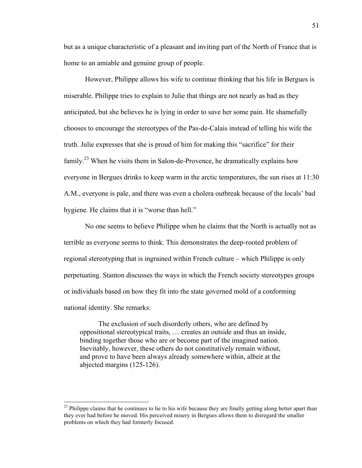but as a unique characteristic of a pleasant and inviting part of the North of France that is home to an amiable and genuine group of people.

However, Philippe allows his wife to continue thinking that his life in Bergues is miserable. Philippe tries to explain to Julie that things are not nearly as bad as they anticipated, but she believes he is lying in order to save her some pain. He shamefully chooses to encourage the stereotypes of the Pas-de-Calais instead of telling his wife the truth. Julie expresses that she is proud of him for making this "sacrifice" for their family.<sup>23</sup> When he visits them in Salon-de-Provence, he dramatically explains how everyone in Bergues drinks to keep warm in the arctic temperatures, the sun rises at 11:30 A.M., everyone is pale, and there was even a cholera outbreak because of the locals' bad hygiene. He claims that it is "worse than hell."

No one seems to believe Philippe when he claims that the North is actually not as terrible as everyone seems to think. This demonstrates the deep-rooted problem of regional stereotyping that is ingrained within French culture – which Philippe is only perpetuating. Stanton discusses the ways in which the French society stereotypes groups or individuals based on how they fit into the state governed mold of a conforming national identity. She remarks:

The exclusion of such disorderly others, who are defined by oppositional stereotypical traits, … creates an outside and thus an inside, binding together those who are or become part of the imagined nation. Inevitably, however, these others do not constitutively remain without, and prove to have been always already somewhere within, albeit at the abjected margins (125-126).

<sup>&</sup>lt;sup>23</sup> Philippe claims that he continues to lie to his wife because they are finally getting along better apart than they ever had before he moved. His perceived misery in Bergues allows them to disregard the smaller problems on which they had formerly focused.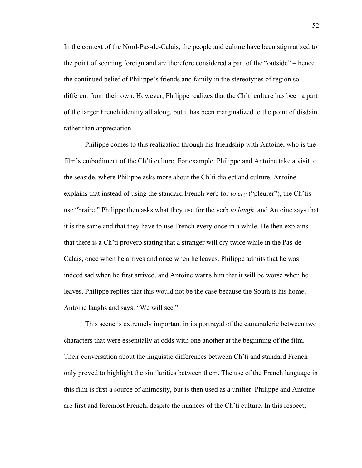In the context of the Nord-Pas-de-Calais, the people and culture have been stigmatized to the point of seeming foreign and are therefore considered a part of the "outside" – hence the continued belief of Philippe's friends and family in the stereotypes of region so different from their own. However, Philippe realizes that the Ch'ti culture has been a part of the larger French identity all along, but it has been marginalized to the point of disdain rather than appreciation.

Philippe comes to this realization through his friendship with Antoine, who is the film's embodiment of the Ch'ti culture. For example, Philippe and Antoine take a visit to the seaside, where Philippe asks more about the Ch'ti dialect and culture. Antoine explains that instead of using the standard French verb for *to cry* ("pleurer"), the Ch'tis use "braire." Philippe then asks what they use for the verb *to laugh*, and Antoine says that it is the same and that they have to use French every once in a while. He then explains that there is a Ch'ti proverb stating that a stranger will cry twice while in the Pas-de-Calais, once when he arrives and once when he leaves. Philippe admits that he was indeed sad when he first arrived, and Antoine warns him that it will be worse when he leaves. Philippe replies that this would not be the case because the South is his home. Antoine laughs and says: "We will see."

This scene is extremely important in its portrayal of the camaraderie between two characters that were essentially at odds with one another at the beginning of the film. Their conversation about the linguistic differences between Ch'ti and standard French only proved to highlight the similarities between them. The use of the French language in this film is first a source of animosity, but is then used as a unifier. Philippe and Antoine are first and foremost French, despite the nuances of the Ch'ti culture. In this respect,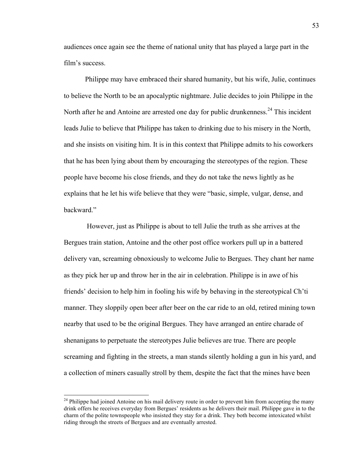audiences once again see the theme of national unity that has played a large part in the film's success.

Philippe may have embraced their shared humanity, but his wife, Julie, continues to believe the North to be an apocalyptic nightmare. Julie decides to join Philippe in the North after he and Antoine are arrested one day for public drunkenness.<sup>24</sup> This incident leads Julie to believe that Philippe has taken to drinking due to his misery in the North, and she insists on visiting him. It is in this context that Philippe admits to his coworkers that he has been lying about them by encouraging the stereotypes of the region. These people have become his close friends, and they do not take the news lightly as he explains that he let his wife believe that they were "basic, simple, vulgar, dense, and backward."

However, just as Philippe is about to tell Julie the truth as she arrives at the Bergues train station, Antoine and the other post office workers pull up in a battered delivery van, screaming obnoxiously to welcome Julie to Bergues. They chant her name as they pick her up and throw her in the air in celebration. Philippe is in awe of his friends' decision to help him in fooling his wife by behaving in the stereotypical Ch'ti manner. They sloppily open beer after beer on the car ride to an old, retired mining town nearby that used to be the original Bergues. They have arranged an entire charade of shenanigans to perpetuate the stereotypes Julie believes are true. There are people screaming and fighting in the streets, a man stands silently holding a gun in his yard, and a collection of miners casually stroll by them, despite the fact that the mines have been

<sup>&</sup>lt;sup>24</sup> Philippe had joined Antoine on his mail delivery route in order to prevent him from accepting the many drink offers he receives everyday from Bergues' residents as he delivers their mail. Philippe gave in to the charm of the polite townspeople who insisted they stay for a drink. They both become intoxicated whilst riding through the streets of Bergues and are eventually arrested.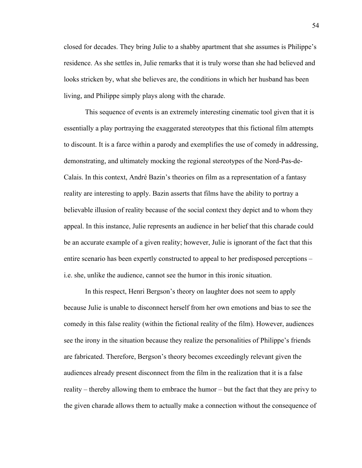closed for decades. They bring Julie to a shabby apartment that she assumes is Philippe's residence. As she settles in, Julie remarks that it is truly worse than she had believed and looks stricken by, what she believes are, the conditions in which her husband has been living, and Philippe simply plays along with the charade.

This sequence of events is an extremely interesting cinematic tool given that it is essentially a play portraying the exaggerated stereotypes that this fictional film attempts to discount. It is a farce within a parody and exemplifies the use of comedy in addressing, demonstrating, and ultimately mocking the regional stereotypes of the Nord-Pas-de-Calais. In this context, André Bazin's theories on film as a representation of a fantasy reality are interesting to apply. Bazin asserts that films have the ability to portray a believable illusion of reality because of the social context they depict and to whom they appeal. In this instance, Julie represents an audience in her belief that this charade could be an accurate example of a given reality; however, Julie is ignorant of the fact that this entire scenario has been expertly constructed to appeal to her predisposed perceptions – i.e. she, unlike the audience, cannot see the humor in this ironic situation.

In this respect, Henri Bergson's theory on laughter does not seem to apply because Julie is unable to disconnect herself from her own emotions and bias to see the comedy in this false reality (within the fictional reality of the film). However, audiences see the irony in the situation because they realize the personalities of Philippe's friends are fabricated. Therefore, Bergson's theory becomes exceedingly relevant given the audiences already present disconnect from the film in the realization that it is a false reality – thereby allowing them to embrace the humor – but the fact that they are privy to the given charade allows them to actually make a connection without the consequence of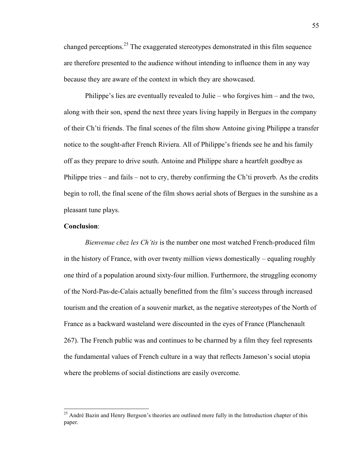changed perceptions.25 The exaggerated stereotypes demonstrated in this film sequence are therefore presented to the audience without intending to influence them in any way because they are aware of the context in which they are showcased.

Philippe's lies are eventually revealed to Julie – who forgives him – and the two, along with their son, spend the next three years living happily in Bergues in the company of their Ch'ti friends. The final scenes of the film show Antoine giving Philippe a transfer notice to the sought-after French Riviera. All of Philippe's friends see he and his family off as they prepare to drive south. Antoine and Philippe share a heartfelt goodbye as Philippe tries – and fails – not to cry, thereby confirming the Ch'ti proverb. As the credits begin to roll, the final scene of the film shows aerial shots of Bergues in the sunshine as a pleasant tune plays.

# **Conclusion**:

*Bienvenue chez les Ch'tis* is the number one most watched French-produced film in the history of France, with over twenty million views domestically – equaling roughly one third of a population around sixty-four million. Furthermore, the struggling economy of the Nord-Pas-de-Calais actually benefitted from the film's success through increased tourism and the creation of a souvenir market, as the negative stereotypes of the North of France as a backward wasteland were discounted in the eyes of France (Planchenault 267). The French public was and continues to be charmed by a film they feel represents the fundamental values of French culture in a way that reflects Jameson's social utopia where the problems of social distinctions are easily overcome.

<sup>&</sup>lt;sup>25</sup> André Bazin and Henry Bergson's theories are outlined more fully in the Introduction chapter of this paper.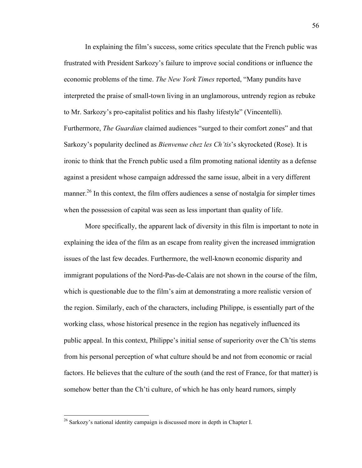In explaining the film's success, some critics speculate that the French public was frustrated with President Sarkozy's failure to improve social conditions or influence the economic problems of the time. *The New York Times* reported, "Many pundits have interpreted the praise of small-town living in an unglamorous, untrendy region as rebuke to Mr. Sarkozy's pro-capitalist politics and his flashy lifestyle" (Vincentelli). Furthermore, *The Guardian* claimed audiences "surged to their comfort zones" and that Sarkozy's popularity declined as *Bienvenue chez les Ch'tis*'s skyrocketed (Rose). It is ironic to think that the French public used a film promoting national identity as a defense against a president whose campaign addressed the same issue, albeit in a very different manner.<sup>26</sup> In this context, the film offers audiences a sense of nostalgia for simpler times when the possession of capital was seen as less important than quality of life.

More specifically, the apparent lack of diversity in this film is important to note in explaining the idea of the film as an escape from reality given the increased immigration issues of the last few decades. Furthermore, the well-known economic disparity and immigrant populations of the Nord-Pas-de-Calais are not shown in the course of the film, which is questionable due to the film's aim at demonstrating a more realistic version of the region. Similarly, each of the characters, including Philippe, is essentially part of the working class, whose historical presence in the region has negatively influenced its public appeal. In this context, Philippe's initial sense of superiority over the Ch'tis stems from his personal perception of what culture should be and not from economic or racial factors. He believes that the culture of the south (and the rest of France, for that matter) is somehow better than the Ch'ti culture, of which he has only heard rumors, simply

 $26$  Sarkozy's national identity campaign is discussed more in depth in Chapter I.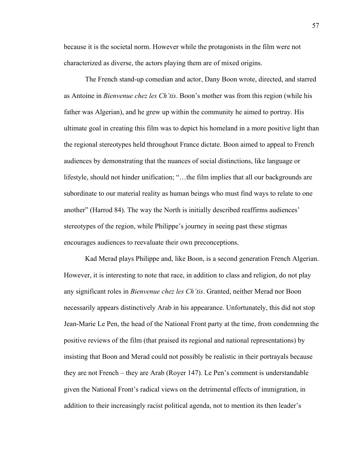because it is the societal norm. However while the protagonists in the film were not characterized as diverse, the actors playing them are of mixed origins.

The French stand-up comedian and actor, Dany Boon wrote, directed, and starred as Antoine in *Bienvenue chez les Ch'tis*. Boon's mother was from this region (while his father was Algerian), and he grew up within the community he aimed to portray. His ultimate goal in creating this film was to depict his homeland in a more positive light than the regional stereotypes held throughout France dictate. Boon aimed to appeal to French audiences by demonstrating that the nuances of social distinctions, like language or lifestyle, should not hinder unification; "…the film implies that all our backgrounds are subordinate to our material reality as human beings who must find ways to relate to one another" (Harrod 84). The way the North is initially described reaffirms audiences' stereotypes of the region, while Philippe's journey in seeing past these stigmas encourages audiences to reevaluate their own preconceptions.

Kad Merad plays Philippe and, like Boon, is a second generation French Algerian. However, it is interesting to note that race, in addition to class and religion, do not play any significant roles in *Bienvenue chez les Ch'tis*. Granted, neither Merad nor Boon necessarily appears distinctively Arab in his appearance. Unfortunately, this did not stop Jean-Marie Le Pen, the head of the National Front party at the time, from condemning the positive reviews of the film (that praised its regional and national representations) by insisting that Boon and Merad could not possibly be realistic in their portrayals because they are not French – they are Arab (Royer 147). Le Pen's comment is understandable given the National Front's radical views on the detrimental effects of immigration, in addition to their increasingly racist political agenda, not to mention its then leader's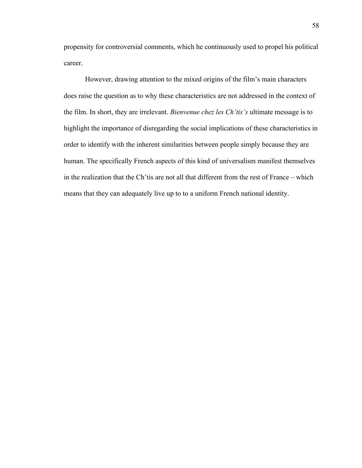propensity for controversial comments, which he continuously used to propel his political career.

However, drawing attention to the mixed origins of the film's main characters does raise the question as to why these characteristics are not addressed in the context of the film. In short, they are irrelevant. *Bienvenue chez les Ch'tis's* ultimate message is to highlight the importance of disregarding the social implications of these characteristics in order to identify with the inherent similarities between people simply because they are human. The specifically French aspects of this kind of universalism manifest themselves in the realization that the Ch'tis are not all that different from the rest of France – which means that they can adequately live up to to a uniform French national identity.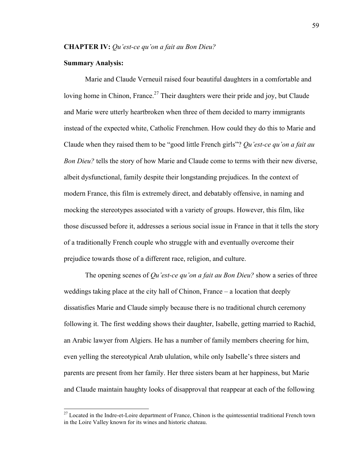# **Summary Analysis:**

Marie and Claude Verneuil raised four beautiful daughters in a comfortable and loving home in Chinon, France.<sup>27</sup> Their daughters were their pride and joy, but Claude and Marie were utterly heartbroken when three of them decided to marry immigrants instead of the expected white, Catholic Frenchmen. How could they do this to Marie and Claude when they raised them to be "good little French girls"? *Qu'est-ce qu'on a fait au Bon Dieu?* tells the story of how Marie and Claude come to terms with their new diverse, albeit dysfunctional, family despite their longstanding prejudices. In the context of modern France, this film is extremely direct, and debatably offensive, in naming and mocking the stereotypes associated with a variety of groups. However, this film, like those discussed before it, addresses a serious social issue in France in that it tells the story of a traditionally French couple who struggle with and eventually overcome their prejudice towards those of a different race, religion, and culture.

The opening scenes of *Qu'est-ce qu'on a fait au Bon Dieu?* show a series of three weddings taking place at the city hall of Chinon, France – a location that deeply dissatisfies Marie and Claude simply because there is no traditional church ceremony following it. The first wedding shows their daughter, Isabelle, getting married to Rachid, an Arabic lawyer from Algiers. He has a number of family members cheering for him, even yelling the stereotypical Arab ululation, while only Isabelle's three sisters and parents are present from her family. Her three sisters beam at her happiness, but Marie and Claude maintain haughty looks of disapproval that reappear at each of the following

 $27$  Located in the Indre-et-Loire department of France, Chinon is the quintessential traditional French town in the Loire Valley known for its wines and historic chateau.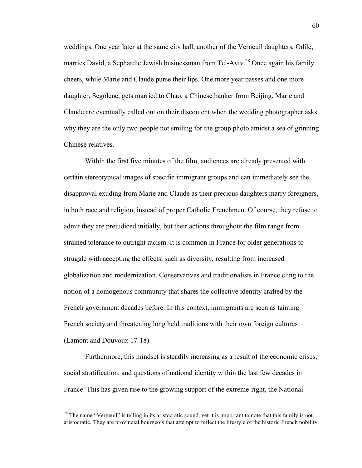weddings. One year later at the same city hall, another of the Verneuil daughters, Odile, marries David, a Sephardic Jewish businessman from Tel-Aviv.<sup>28</sup> Once again his family cheers, while Marie and Claude purse their lips. One more year passes and one more daughter, Segolene, gets married to Chao, a Chinese banker from Beijing. Marie and Claude are eventually called out on their discontent when the wedding photographer asks why they are the only two people not smiling for the group photo amidst a sea of grinning Chinese relatives.

Within the first five minutes of the film, audiences are already presented with certain stereotypical images of specific immigrant groups and can immediately see the disapproval exuding from Marie and Claude as their precious daughters marry foreigners, in both race and religion, instead of proper Catholic Frenchmen. Of course, they refuse to admit they are prejudiced initially, but their actions throughout the film range from strained tolerance to outright racism. It is common in France for older generations to struggle with accepting the effects, such as diversity, resulting from increased globalization and modernization. Conservatives and traditionalists in France cling to the notion of a homogenous community that shares the collective identity crafted by the French government decades before. In this context, immigrants are seen as tainting French society and threatening long held traditions with their own foreign cultures (Lamont and Douvoux 17-18).

Furthermore, this mindset is steadily increasing as a result of the economic crises, social stratification, and questions of national identity within the last few decades in France. This has given rise to the growing support of the extreme-right, the National

<sup>&</sup>lt;sup>28</sup> The name "Verneuil" is telling in its aristocratic sound, yet it is important to note that this family is not aristocratic. They are provincial bourgeois that attempt to reflect the lifestyle of the historic French nobility.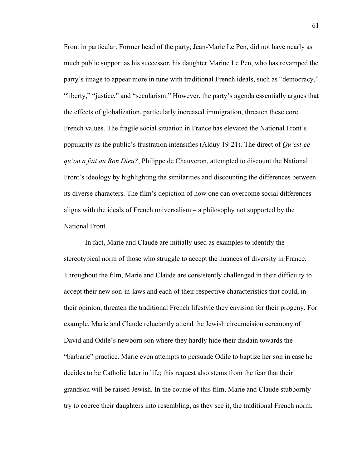Front in particular. Former head of the party, Jean-Marie Le Pen, did not have nearly as much public support as his successor, his daughter Marine Le Pen, who has revamped the party's image to appear more in tune with traditional French ideals, such as "democracy," "liberty," "justice," and "secularism." However, the party's agenda essentially argues that the effects of globalization, particularly increased immigration, threaten these core French values. The fragile social situation in France has elevated the National Front's popularity as the public's frustration intensifies (Alduy 19-21). The direct of *Qu'est-ce qu'on a fait au Bon Dieu?*, Philippe de Chauveron, attempted to discount the National Front's ideology by highlighting the similarities and discounting the differences between its diverse characters. The film's depiction of how one can overcome social differences aligns with the ideals of French universalism – a philosophy not supported by the National Front.

In fact, Marie and Claude are initially used as examples to identify the stereotypical norm of those who struggle to accept the nuances of diversity in France. Throughout the film, Marie and Claude are consistently challenged in their difficulty to accept their new son-in-laws and each of their respective characteristics that could, in their opinion, threaten the traditional French lifestyle they envision for their progeny. For example, Marie and Claude reluctantly attend the Jewish circumcision ceremony of David and Odile's newborn son where they hardly hide their disdain towards the "barbaric" practice. Marie even attempts to persuade Odile to baptize her son in case he decides to be Catholic later in life; this request also stems from the fear that their grandson will be raised Jewish. In the course of this film, Marie and Claude stubbornly try to coerce their daughters into resembling, as they see it, the traditional French norm.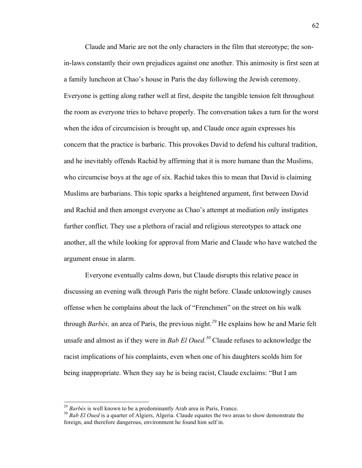Claude and Marie are not the only characters in the film that stereotype; the sonin-laws constantly their own prejudices against one another. This animosity is first seen at a family luncheon at Chao's house in Paris the day following the Jewish ceremony. Everyone is getting along rather well at first, despite the tangible tension felt throughout the room as everyone tries to behave properly. The conversation takes a turn for the worst when the idea of circumcision is brought up, and Claude once again expresses his concern that the practice is barbaric. This provokes David to defend his cultural tradition, and he inevitably offends Rachid by affirming that it is more humane than the Muslims, who circumcise boys at the age of six. Rachid takes this to mean that David is claiming Muslims are barbarians. This topic sparks a heightened argument, first between David and Rachid and then amongst everyone as Chao's attempt at mediation only instigates further conflict. They use a plethora of racial and religious stereotypes to attack one another, all the while looking for approval from Marie and Claude who have watched the argument ensue in alarm.

Everyone eventually calms down, but Claude disrupts this relative peace in discussing an evening walk through Paris the night before. Claude unknowingly causes offense when he complains about the lack of "Frenchmen" on the street on his walk through *Barbès,* an area of Paris, the previous night.*<sup>29</sup>* He explains how he and Marie felt unsafe and almost as if they were in *Bab El Oued. <sup>30</sup>* Claude refuses to acknowledge the racist implications of his complaints, even when one of his daughters scolds him for being inappropriate. When they say he is being racist, Claude exclaims: "But I am

<sup>&</sup>lt;sup>29</sup> *Barbès* is well known to be a predominantly Arab area in Paris, France.<br><sup>30</sup> *Bab El Oued* is a quarter of Algiers, Algeria. Claude equates the two areas to show demonstrate the foreign, and therefore dangerous, environment he found him self in.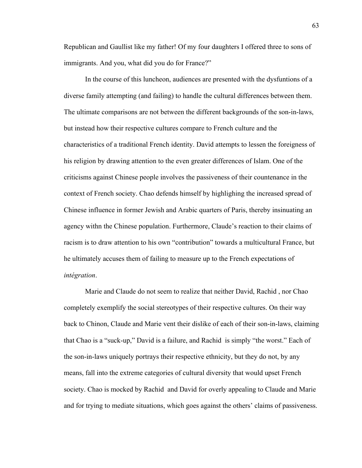Republican and Gaullist like my father! Of my four daughters I offered three to sons of immigrants. And you, what did you do for France?"

In the course of this luncheon, audiences are presented with the dysfuntions of a diverse family attempting (and failing) to handle the cultural differences between them. The ultimate comparisons are not between the different backgrounds of the son-in-laws, but instead how their respective cultures compare to French culture and the characteristics of a traditional French identity. David attempts to lessen the foreigness of his religion by drawing attention to the even greater differences of Islam. One of the criticisms against Chinese people involves the passiveness of their countenance in the context of French society. Chao defends himself by highlighing the increased spread of Chinese influence in former Jewish and Arabic quarters of Paris, thereby insinuating an agency withn the Chinese population. Furthermore, Claude's reaction to their claims of racism is to draw attention to his own "contribution" towards a multicultural France, but he ultimately accuses them of failing to measure up to the French expectations of *intégration*.

Marie and Claude do not seem to realize that neither David, Rachid , nor Chao completely exemplify the social stereotypes of their respective cultures. On their way back to Chinon, Claude and Marie vent their dislike of each of their son-in-laws, claiming that Chao is a "suck-up," David is a failure, and Rachid is simply "the worst." Each of the son-in-laws uniquely portrays their respective ethnicity, but they do not, by any means, fall into the extreme categories of cultural diversity that would upset French society. Chao is mocked by Rachid and David for overly appealing to Claude and Marie and for trying to mediate situations, which goes against the others' claims of passiveness.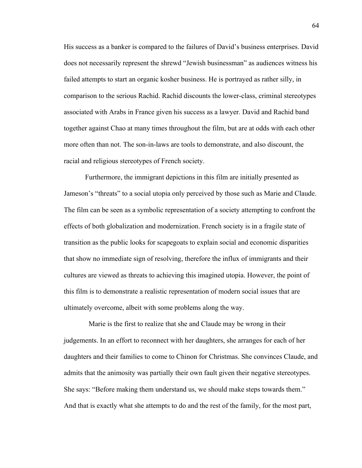His success as a banker is compared to the failures of David's business enterprises. David does not necessarily represent the shrewd "Jewish businessman" as audiences witness his failed attempts to start an organic kosher business. He is portrayed as rather silly, in comparison to the serious Rachid. Rachid discounts the lower-class, criminal stereotypes associated with Arabs in France given his success as a lawyer. David and Rachid band together against Chao at many times throughout the film, but are at odds with each other more often than not. The son-in-laws are tools to demonstrate, and also discount, the racial and religious stereotypes of French society.

Furthermore, the immigrant depictions in this film are initially presented as Jameson's "threats" to a social utopia only perceived by those such as Marie and Claude. The film can be seen as a symbolic representation of a society attempting to confront the effects of both globalization and modernization. French society is in a fragile state of transition as the public looks for scapegoats to explain social and economic disparities that show no immediate sign of resolving, therefore the influx of immigrants and their cultures are viewed as threats to achieving this imagined utopia. However, the point of this film is to demonstrate a realistic representation of modern social issues that are ultimately overcome, albeit with some problems along the way.

 Marie is the first to realize that she and Claude may be wrong in their judgements. In an effort to reconnect with her daughters, she arranges for each of her daughters and their families to come to Chinon for Christmas. She convinces Claude, and admits that the animosity was partially their own fault given their negative stereotypes. She says: "Before making them understand us, we should make steps towards them." And that is exactly what she attempts to do and the rest of the family, for the most part,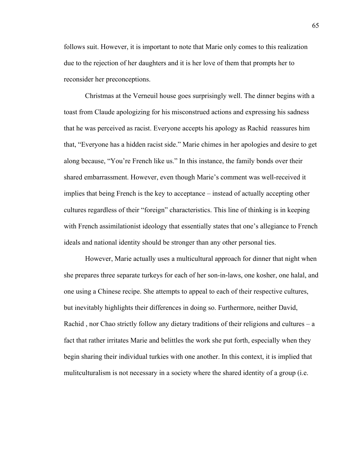follows suit. However, it is important to note that Marie only comes to this realization due to the rejection of her daughters and it is her love of them that prompts her to reconsider her preconceptions.

Christmas at the Verneuil house goes surprisingly well. The dinner begins with a toast from Claude apologizing for his misconstrued actions and expressing his sadness that he was perceived as racist. Everyone accepts his apology as Rachid reassures him that, "Everyone has a hidden racist side." Marie chimes in her apologies and desire to get along because, "You're French like us." In this instance, the family bonds over their shared embarrassment. However, even though Marie's comment was well-received it implies that being French is the key to acceptance – instead of actually accepting other cultures regardless of their "foreign" characteristics. This line of thinking is in keeping with French assimilationist ideology that essentially states that one's allegiance to French ideals and national identity should be stronger than any other personal ties.

However, Marie actually uses a multicultural approach for dinner that night when she prepares three separate turkeys for each of her son-in-laws, one kosher, one halal, and one using a Chinese recipe. She attempts to appeal to each of their respective cultures, but inevitably highlights their differences in doing so. Furthermore, neither David, Rachid , nor Chao strictly follow any dietary traditions of their religions and cultures – a fact that rather irritates Marie and belittles the work she put forth, especially when they begin sharing their individual turkies with one another. In this context, it is implied that mulitculturalism is not necessary in a society where the shared identity of a group (i.e.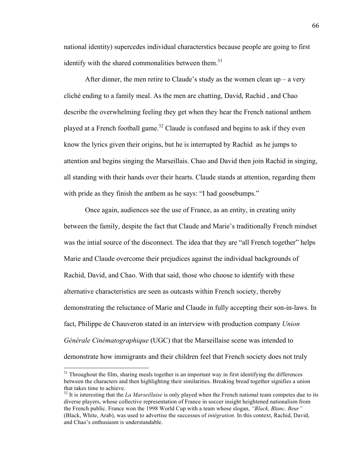national identity) supercedes individual characterstics because people are going to first identify with the shared commonalities between them. $31$ 

After dinner, the men retire to Claude's study as the women clean up – a very cliché ending to a family meal. As the men are chatting, David, Rachid , and Chao describe the overwhelming feeling they get when they hear the French national anthem played at a French football game.<sup>32</sup> Claude is confused and begins to ask if they even know the lyrics given their origins, but he is interrupted by Rachid as he jumps to attention and begins singing the Marseillais. Chao and David then join Rachid in singing, all standing with their hands over their hearts. Claude stands at attention, regarding them with pride as they finish the anthem as he says: "I had goosebumps."

Once again, audiences see the use of France, as an entity, in creating unity between the family, despite the fact that Claude and Marie's traditionally French mindset was the intial source of the disconnect. The idea that they are "all French together" helps Marie and Claude overcome their prejudices against the individual backgrounds of Rachid, David, and Chao. With that said, those who choose to identify with these alternative characteristics are seen as outcasts within French society, thereby demonstrating the reluctance of Marie and Claude in fully accepting their son-in-laws. In fact, Philippe de Chauveron stated in an interview with production company *Union Générale Cinématographique* (UGC) that the Marseillaise scene was intended to demonstrate how immigrants and their children feel that French society does not truly

 $31$  Throughout the film, sharing meals together is an important way in first identifying the differences between the characters and then highlighting their similarities. Breaking bread together signifies a union that takes time to achieve.

<sup>&</sup>lt;sup>32</sup> It is interesting that the *La Marseillaise* is only played when the French national team competes due to its diverse players, whose collective representation of France in soccer insight heightened nationalism from the French public. France won the 1998 World Cup with a team whose slogan, *"Black, Blanc, Beur"* (Black, White, Arab), was used to advertise the successes of *intégration.* In this context, Rachid, David, and Chao's enthusiasm is understandable.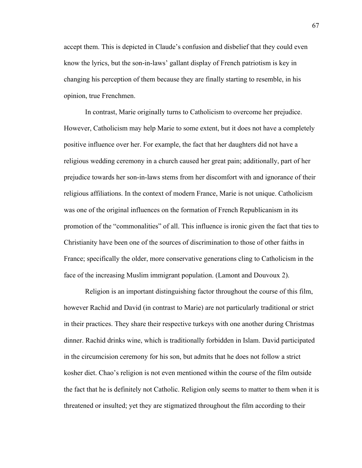accept them. This is depicted in Claude's confusion and disbelief that they could even know the lyrics, but the son-in-laws' gallant display of French patriotism is key in changing his perception of them because they are finally starting to resemble, in his opinion, true Frenchmen.

In contrast, Marie originally turns to Catholicism to overcome her prejudice. However, Catholicism may help Marie to some extent, but it does not have a completely positive influence over her. For example, the fact that her daughters did not have a religious wedding ceremony in a church caused her great pain; additionally, part of her prejudice towards her son-in-laws stems from her discomfort with and ignorance of their religious affiliations. In the context of modern France, Marie is not unique. Catholicism was one of the original influences on the formation of French Republicanism in its promotion of the "commonalities" of all. This influence is ironic given the fact that ties to Christianity have been one of the sources of discrimination to those of other faiths in France; specifically the older, more conservative generations cling to Catholicism in the face of the increasing Muslim immigrant population. (Lamont and Douvoux 2).

Religion is an important distinguishing factor throughout the course of this film, however Rachid and David (in contrast to Marie) are not particularly traditional or strict in their practices. They share their respective turkeys with one another during Christmas dinner. Rachid drinks wine, which is traditionally forbidden in Islam. David participated in the circumcision ceremony for his son, but admits that he does not follow a strict kosher diet. Chao's religion is not even mentioned within the course of the film outside the fact that he is definitely not Catholic. Religion only seems to matter to them when it is threatened or insulted; yet they are stigmatized throughout the film according to their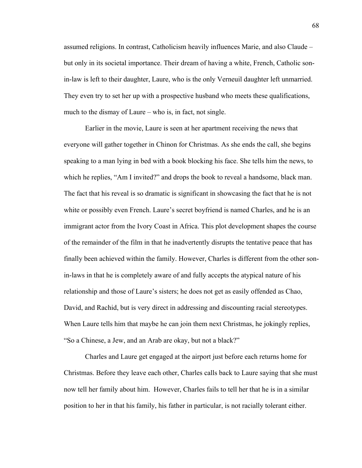assumed religions. In contrast, Catholicism heavily influences Marie, and also Claude – but only in its societal importance. Their dream of having a white, French, Catholic sonin-law is left to their daughter, Laure, who is the only Verneuil daughter left unmarried. They even try to set her up with a prospective husband who meets these qualifications, much to the dismay of Laure – who is, in fact, not single.

Earlier in the movie, Laure is seen at her apartment receiving the news that everyone will gather together in Chinon for Christmas. As she ends the call, she begins speaking to a man lying in bed with a book blocking his face. She tells him the news, to which he replies, "Am I invited?" and drops the book to reveal a handsome, black man. The fact that his reveal is so dramatic is significant in showcasing the fact that he is not white or possibly even French. Laure's secret boyfriend is named Charles, and he is an immigrant actor from the Ivory Coast in Africa. This plot development shapes the course of the remainder of the film in that he inadvertently disrupts the tentative peace that has finally been achieved within the family. However, Charles is different from the other sonin-laws in that he is completely aware of and fully accepts the atypical nature of his relationship and those of Laure's sisters; he does not get as easily offended as Chao, David, and Rachid, but is very direct in addressing and discounting racial stereotypes. When Laure tells him that maybe he can join them next Christmas, he jokingly replies, "So a Chinese, a Jew, and an Arab are okay, but not a black?"

Charles and Laure get engaged at the airport just before each returns home for Christmas. Before they leave each other, Charles calls back to Laure saying that she must now tell her family about him. However, Charles fails to tell her that he is in a similar position to her in that his family, his father in particular, is not racially tolerant either.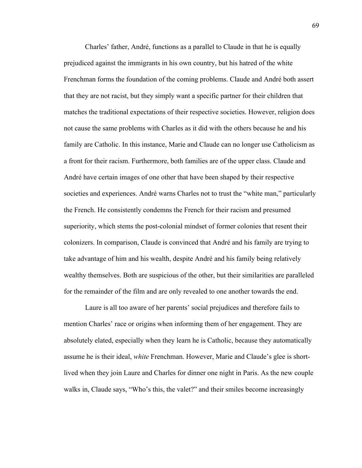Charles' father, André, functions as a parallel to Claude in that he is equally prejudiced against the immigrants in his own country, but his hatred of the white Frenchman forms the foundation of the coming problems. Claude and André both assert that they are not racist, but they simply want a specific partner for their children that matches the traditional expectations of their respective societies. However, religion does not cause the same problems with Charles as it did with the others because he and his family are Catholic. In this instance, Marie and Claude can no longer use Catholicism as a front for their racism. Furthermore, both families are of the upper class. Claude and André have certain images of one other that have been shaped by their respective societies and experiences. André warns Charles not to trust the "white man," particularly the French. He consistently condemns the French for their racism and presumed superiority, which stems the post-colonial mindset of former colonies that resent their colonizers. In comparison, Claude is convinced that André and his family are trying to take advantage of him and his wealth, despite André and his family being relatively wealthy themselves. Both are suspicious of the other, but their similarities are paralleled for the remainder of the film and are only revealed to one another towards the end.

Laure is all too aware of her parents' social prejudices and therefore fails to mention Charles' race or origins when informing them of her engagement. They are absolutely elated, especially when they learn he is Catholic, because they automatically assume he is their ideal, *white* Frenchman. However, Marie and Claude's glee is shortlived when they join Laure and Charles for dinner one night in Paris. As the new couple walks in, Claude says, "Who's this, the valet?" and their smiles become increasingly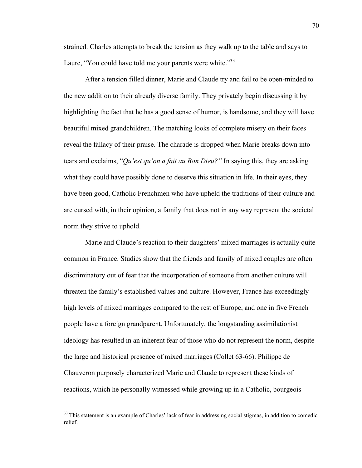strained. Charles attempts to break the tension as they walk up to the table and says to Laure, "You could have told me your parents were white."<sup>33</sup>

After a tension filled dinner, Marie and Claude try and fail to be open-minded to the new addition to their already diverse family. They privately begin discussing it by highlighting the fact that he has a good sense of humor, is handsome, and they will have beautiful mixed grandchildren. The matching looks of complete misery on their faces reveal the fallacy of their praise. The charade is dropped when Marie breaks down into tears and exclaims, "*Qu'est qu'on a fait au Bon Dieu?"* In saying this, they are asking what they could have possibly done to deserve this situation in life. In their eyes, they have been good, Catholic Frenchmen who have upheld the traditions of their culture and are cursed with, in their opinion, a family that does not in any way represent the societal norm they strive to uphold.

Marie and Claude's reaction to their daughters' mixed marriages is actually quite common in France. Studies show that the friends and family of mixed couples are often discriminatory out of fear that the incorporation of someone from another culture will threaten the family's established values and culture. However, France has exceedingly high levels of mixed marriages compared to the rest of Europe, and one in five French people have a foreign grandparent. Unfortunately, the longstanding assimilationist ideology has resulted in an inherent fear of those who do not represent the norm, despite the large and historical presence of mixed marriages (Collet 63-66). Philippe de Chauveron purposely characterized Marie and Claude to represent these kinds of reactions, which he personally witnessed while growing up in a Catholic, bourgeois

<sup>&</sup>lt;sup>33</sup> This statement is an example of Charles' lack of fear in addressing social stigmas, in addition to comedic relief.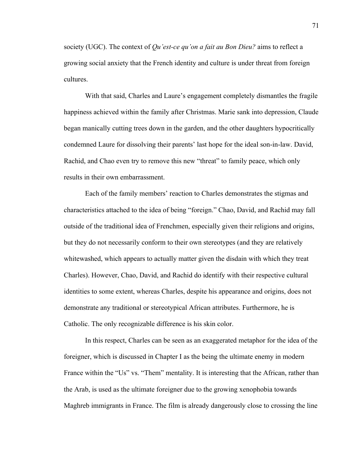society (UGC). The context of *Qu'est-ce qu'on a fait au Bon Dieu?* aims to reflect a growing social anxiety that the French identity and culture is under threat from foreign cultures.

With that said, Charles and Laure's engagement completely dismantles the fragile happiness achieved within the family after Christmas. Marie sank into depression, Claude began manically cutting trees down in the garden, and the other daughters hypocritically condemned Laure for dissolving their parents' last hope for the ideal son-in-law. David, Rachid, and Chao even try to remove this new "threat" to family peace, which only results in their own embarrassment.

Each of the family members' reaction to Charles demonstrates the stigmas and characteristics attached to the idea of being "foreign." Chao, David, and Rachid may fall outside of the traditional idea of Frenchmen, especially given their religions and origins, but they do not necessarily conform to their own stereotypes (and they are relatively whitewashed, which appears to actually matter given the disdain with which they treat Charles). However, Chao, David, and Rachid do identify with their respective cultural identities to some extent, whereas Charles, despite his appearance and origins, does not demonstrate any traditional or stereotypical African attributes. Furthermore, he is Catholic. The only recognizable difference is his skin color.

In this respect, Charles can be seen as an exaggerated metaphor for the idea of the foreigner, which is discussed in Chapter I as the being the ultimate enemy in modern France within the "Us" vs. "Them" mentality. It is interesting that the African, rather than the Arab, is used as the ultimate foreigner due to the growing xenophobia towards Maghreb immigrants in France. The film is already dangerously close to crossing the line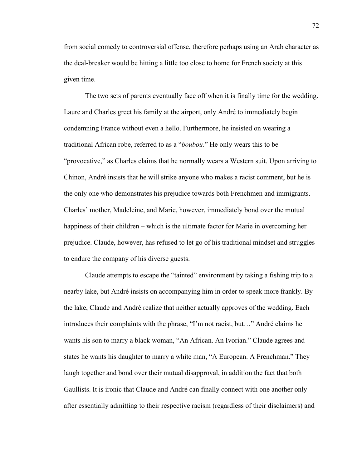from social comedy to controversial offense, therefore perhaps using an Arab character as the deal-breaker would be hitting a little too close to home for French society at this given time.

The two sets of parents eventually face off when it is finally time for the wedding. Laure and Charles greet his family at the airport, only André to immediately begin condemning France without even a hello. Furthermore, he insisted on wearing a traditional African robe, referred to as a "*boubou*." He only wears this to be "provocative," as Charles claims that he normally wears a Western suit. Upon arriving to Chinon, André insists that he will strike anyone who makes a racist comment, but he is the only one who demonstrates his prejudice towards both Frenchmen and immigrants. Charles' mother, Madeleine, and Marie, however, immediately bond over the mutual happiness of their children – which is the ultimate factor for Marie in overcoming her prejudice. Claude, however, has refused to let go of his traditional mindset and struggles to endure the company of his diverse guests.

Claude attempts to escape the "tainted" environment by taking a fishing trip to a nearby lake, but André insists on accompanying him in order to speak more frankly. By the lake, Claude and André realize that neither actually approves of the wedding. Each introduces their complaints with the phrase, "I'm not racist, but…" André claims he wants his son to marry a black woman, "An African. An Ivorian." Claude agrees and states he wants his daughter to marry a white man, "A European. A Frenchman." They laugh together and bond over their mutual disapproval, in addition the fact that both Gaullists. It is ironic that Claude and André can finally connect with one another only after essentially admitting to their respective racism (regardless of their disclaimers) and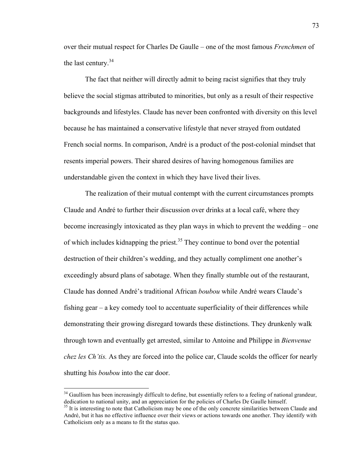over their mutual respect for Charles De Gaulle – one of the most famous *Frenchmen* of the last century. $34$ 

The fact that neither will directly admit to being racist signifies that they truly believe the social stigmas attributed to minorities, but only as a result of their respective backgrounds and lifestyles. Claude has never been confronted with diversity on this level because he has maintained a conservative lifestyle that never strayed from outdated French social norms. In comparison, André is a product of the post-colonial mindset that resents imperial powers. Their shared desires of having homogenous families are understandable given the context in which they have lived their lives.

The realization of their mutual contempt with the current circumstances prompts Claude and André to further their discussion over drinks at a local café, where they become increasingly intoxicated as they plan ways in which to prevent the wedding – one of which includes kidnapping the priest.<sup>35</sup> They continue to bond over the potential destruction of their children's wedding, and they actually compliment one another's exceedingly absurd plans of sabotage. When they finally stumble out of the restaurant, Claude has donned André's traditional African *boubou* while André wears Claude's fishing gear – a key comedy tool to accentuate superficiality of their differences while demonstrating their growing disregard towards these distinctions. They drunkenly walk through town and eventually get arrested, similar to Antoine and Philippe in *Bienvenue chez les Ch'tis.* As they are forced into the police car, Claude scolds the officer for nearly shutting his *boubou* into the car door.

<sup>&</sup>lt;sup>34</sup> Gaullism has been increasingly difficult to define, but essentially refers to a feeling of national grandeur, dedication to national unity, and an appreciation for the policies of Charles De Gaulle himself.<br><sup>35</sup> It is interesting to note that Catholicism may be one of the only concrete similarities between Claude and

André, but it has no effective influence over their views or actions towards one another. They identify with Catholicism only as a means to fit the status quo.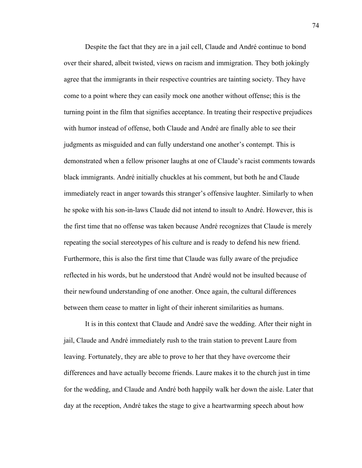Despite the fact that they are in a jail cell, Claude and André continue to bond over their shared, albeit twisted, views on racism and immigration. They both jokingly agree that the immigrants in their respective countries are tainting society. They have come to a point where they can easily mock one another without offense; this is the turning point in the film that signifies acceptance. In treating their respective prejudices with humor instead of offense, both Claude and André are finally able to see their judgments as misguided and can fully understand one another's contempt. This is demonstrated when a fellow prisoner laughs at one of Claude's racist comments towards black immigrants. André initially chuckles at his comment, but both he and Claude immediately react in anger towards this stranger's offensive laughter. Similarly to when he spoke with his son-in-laws Claude did not intend to insult to André. However, this is the first time that no offense was taken because André recognizes that Claude is merely repeating the social stereotypes of his culture and is ready to defend his new friend. Furthermore, this is also the first time that Claude was fully aware of the prejudice reflected in his words, but he understood that André would not be insulted because of their newfound understanding of one another. Once again, the cultural differences between them cease to matter in light of their inherent similarities as humans.

It is in this context that Claude and André save the wedding. After their night in jail, Claude and André immediately rush to the train station to prevent Laure from leaving. Fortunately, they are able to prove to her that they have overcome their differences and have actually become friends. Laure makes it to the church just in time for the wedding, and Claude and André both happily walk her down the aisle. Later that day at the reception, André takes the stage to give a heartwarming speech about how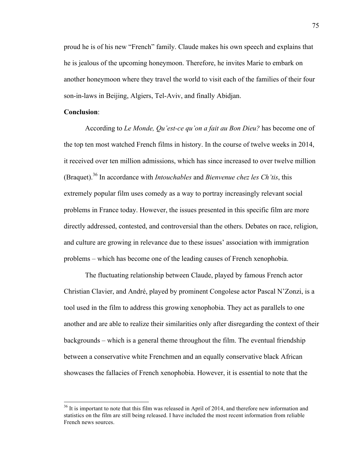proud he is of his new "French" family. Claude makes his own speech and explains that he is jealous of the upcoming honeymoon. Therefore, he invites Marie to embark on another honeymoon where they travel the world to visit each of the families of their four son-in-laws in Beijing, Algiers, Tel-Aviv, and finally Abidjan.

# **Conclusion**:

According to *Le Monde, Qu'est-ce qu'on a fait au Bon Dieu?* has become one of the top ten most watched French films in history. In the course of twelve weeks in 2014, it received over ten million admissions, which has since increased to over twelve million (Braquet).36 In accordance with *Intouchables* and *Bienvenue chez les Ch'tis*, this extremely popular film uses comedy as a way to portray increasingly relevant social problems in France today. However, the issues presented in this specific film are more directly addressed, contested, and controversial than the others. Debates on race, religion, and culture are growing in relevance due to these issues' association with immigration problems – which has become one of the leading causes of French xenophobia.

The fluctuating relationship between Claude, played by famous French actor Christian Clavier, and André, played by prominent Congolese actor Pascal N'Zonzi, is a tool used in the film to address this growing xenophobia. They act as parallels to one another and are able to realize their similarities only after disregarding the context of their backgrounds – which is a general theme throughout the film. The eventual friendship between a conservative white Frenchmen and an equally conservative black African showcases the fallacies of French xenophobia. However, it is essential to note that the

 $36$  It is important to note that this film was released in April of 2014, and therefore new information and statistics on the film are still being released. I have included the most recent information from reliable French news sources.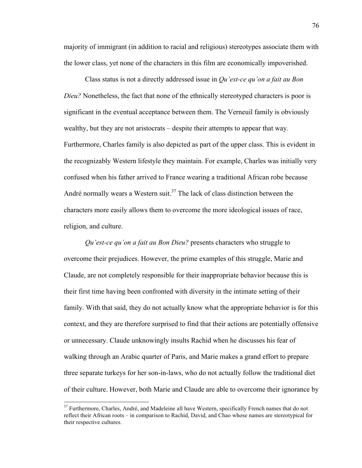majority of immigrant (in addition to racial and religious) stereotypes associate them with the lower class, yet none of the characters in this film are economically impoverished.

Class status is not a directly addressed issue in *Qu'est-ce qu'on a fait au Bon Dieu?* Nonetheless, the fact that none of the ethnically stereotyped characters is poor is significant in the eventual acceptance between them. The Verneuil family is obviously wealthy, but they are not aristocrats – despite their attempts to appear that way. Furthermore, Charles family is also depicted as part of the upper class. This is evident in the recognizably Western lifestyle they maintain. For example, Charles was initially very confused when his father arrived to France wearing a traditional African robe because André normally wears a Western suit.<sup>37</sup> The lack of class distinction between the characters more easily allows them to overcome the more ideological issues of race, religion, and culture.

*Qu'est-ce qu'on a fait au Bon Dieu?* presents characters who struggle to overcome their prejudices. However, the prime examples of this struggle, Marie and Claude, are not completely responsible for their inappropriate behavior because this is their first time having been confronted with diversity in the intimate setting of their family. With that said, they do not actually know what the appropriate behavior is for this context, and they are therefore surprised to find that their actions are potentially offensive or unnecessary. Claude unknowingly insults Rachid when he discusses his fear of walking through an Arabic quarter of Paris, and Marie makes a grand effort to prepare three separate turkeys for her son-in-laws, who do not actually follow the traditional diet of their culture. However, both Marie and Claude are able to overcome their ignorance by

<sup>&</sup>lt;sup>37</sup> Furthermore, Charles, André, and Madeleine all have Western, specifically French names that do not reflect their African roots – in comparison to Rachid, David, and Chao whose names are stereotypical for their respective cultures.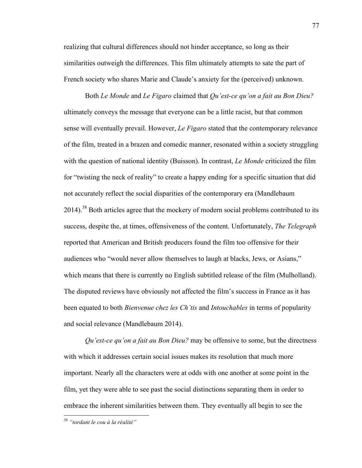realizing that cultural differences should not hinder acceptance, so long as their similarities outweigh the differences. This film ultimately attempts to sate the part of French society who shares Marie and Claude's anxiety for the (perceived) unknown.

Both *Le Monde* and *Le Figaro* claimed that *Qu'est-ce qu'on a fait au Bon Dieu?* ultimately conveys the message that everyone can be a little racist, but that common sense will eventually prevail. However, *Le Figaro* stated that the contemporary relevance of the film, treated in a brazen and comedic manner, resonated within a society struggling with the question of national identity (Buisson). In contrast, *Le Monde* criticized the film for "twisting the neck of reality" to create a happy ending for a specific situation that did not accurately reflect the social disparities of the contemporary era (Mandlebaum 2014).<sup>38</sup> Both articles agree that the mockery of modern social problems contributed to its success, despite the, at times, offensiveness of the content. Unfortunately, *The Telegraph*  reported that American and British producers found the film too offensive for their audiences who "would never allow themselves to laugh at blacks, Jews, or Asians," which means that there is currently no English subtitled release of the film (Mulholland). The disputed reviews have obviously not affected the film's success in France as it has been equated to both *Bienvenue chez les Ch'tis* and *Intouchables* in terms of popularity and social relevance (Mandlebaum 2014).

*Qu'est-ce qu'on a fait au Bon Dieu?* may be offensive to some, but the directness with which it addresses certain social issues makes its resolution that much more important. Nearly all the characters were at odds with one another at some point in the film, yet they were able to see past the social distinctions separating them in order to embrace the inherent similarities between them. They eventually all begin to see the

 <sup>38</sup> *"tordant le cou à la réalité"*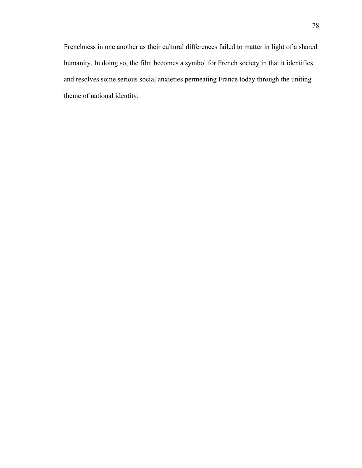Frenchness in one another as their cultural differences failed to matter in light of a shared humanity. In doing so, the film becomes a symbol for French society in that it identifies and resolves some serious social anxieties permeating France today through the uniting theme of national identity.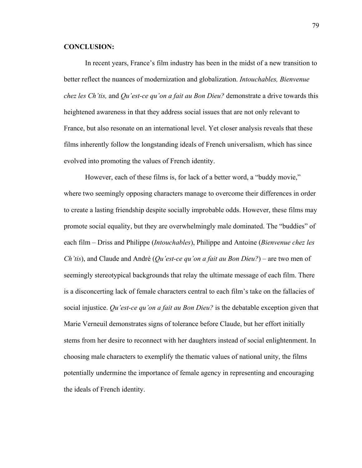# **CONCLUSION:**

In recent years, France's film industry has been in the midst of a new transition to better reflect the nuances of modernization and globalization. *Intouchables, Bienvenue chez les Ch'tis,* and *Qu'est-ce qu'on a fait au Bon Dieu?* demonstrate a drive towards this heightened awareness in that they address social issues that are not only relevant to France, but also resonate on an international level. Yet closer analysis reveals that these films inherently follow the longstanding ideals of French universalism, which has since evolved into promoting the values of French identity.

However, each of these films is, for lack of a better word, a "buddy movie," where two seemingly opposing characters manage to overcome their differences in order to create a lasting friendship despite socially improbable odds. However, these films may promote social equality, but they are overwhelmingly male dominated. The "buddies" of each film – Driss and Philippe (*Intouchables*), Philippe and Antoine (*Bienvenue chez les Ch'tis*), and Claude and André (*Qu'est-ce qu'on a fait au Bon Dieu?*) – are two men of seemingly stereotypical backgrounds that relay the ultimate message of each film. There is a disconcerting lack of female characters central to each film's take on the fallacies of social injustice. *Qu'est-ce qu'on a fait au Bon Dieu?* is the debatable exception given that Marie Verneuil demonstrates signs of tolerance before Claude, but her effort initially stems from her desire to reconnect with her daughters instead of social enlightenment. In choosing male characters to exemplify the thematic values of national unity, the films potentially undermine the importance of female agency in representing and encouraging the ideals of French identity.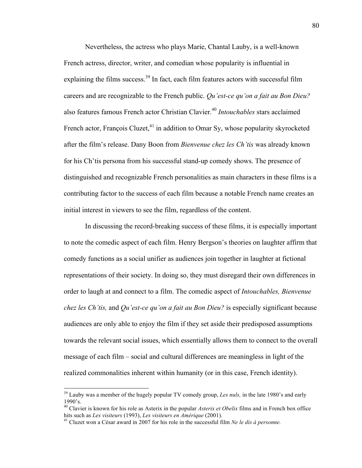Nevertheless, the actress who plays Marie, Chantal Lauby, is a well-known French actress, director, writer, and comedian whose popularity is influential in explaining the films success.<sup>39</sup> In fact, each film features actors with successful film careers and are recognizable to the French public. *Qu'est-ce qu'on a fait au Bon Dieu?* also features famous French actor Christian Clavier.<sup>40</sup> *Intouchables* stars acclaimed French actor, François Cluzet,<sup>41</sup> in addition to Omar Sy, whose popularity skyrocketed after the film's release. Dany Boon from *Bienvenue chez les Ch'tis* was already known for his Ch'tis persona from his successful stand-up comedy shows. The presence of distinguished and recognizable French personalities as main characters in these films is a contributing factor to the success of each film because a notable French name creates an initial interest in viewers to see the film, regardless of the content.

In discussing the record-breaking success of these films, it is especially important to note the comedic aspect of each film. Henry Bergson's theories on laughter affirm that comedy functions as a social unifier as audiences join together in laughter at fictional representations of their society. In doing so, they must disregard their own differences in order to laugh at and connect to a film. The comedic aspect of *Intouchables, Bienvenue chez les Ch'tis,* and *Qu'est-ce qu'on a fait au Bon Dieu?* is especially significant because audiences are only able to enjoy the film if they set aside their predisposed assumptions towards the relevant social issues, which essentially allows them to connect to the overall message of each film – social and cultural differences are meaningless in light of the realized commonalities inherent within humanity (or in this case, French identity).

<sup>&</sup>lt;sup>39</sup> Lauby was a member of the hugely popular TV comedy group, *Les nuls*, in the late 1980's and early 1990's.

<sup>40</sup> Clavier is known for his role as Asterix in the popular *Asterix et Obelix* films and in French box office hits such as *Les visiteurs* (1993), *Les visiteurs en Amérique* (2001). <sup>41</sup> Cluzet won a César award in 2007 for his role in the successful film *Ne le dis à personne.*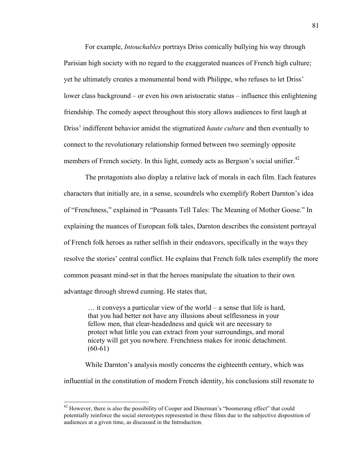For example, *Intouchables* portrays Driss comically bullying his way through Parisian high society with no regard to the exaggerated nuances of French high culture; yet he ultimately creates a monumental bond with Philippe, who refuses to let Driss' lower class background – or even his own aristocratic status – influence this enlightening friendship. The comedy aspect throughout this story allows audiences to first laugh at Driss' indifferent behavior amidst the stigmatized *haute culture* and then eventually to connect to the revolutionary relationship formed between two seemingly opposite members of French society. In this light, comedy acts as Bergson's social unifier.<sup>42</sup>

The protagonists also display a relative lack of morals in each film. Each features characters that initially are, in a sense, scoundrels who exemplify Robert Darnton's idea of "Frenchness," explained in "Peasants Tell Tales: The Meaning of Mother Goose." In explaining the nuances of European folk tales, Darnton describes the consistent portrayal of French folk heroes as rather selfish in their endeavors, specifically in the ways they resolve the stories' central conflict. He explains that French folk tales exemplify the more common peasant mind-set in that the heroes manipulate the situation to their own advantage through shrewd cunning. He states that,

… it conveys a particular view of the world – a sense that life is hard, that you had better not have any illusions about selflessness in your fellow men, that clear-headedness and quick wit are necessary to protect what little you can extract from your surroundings, and moral nicety will get you nowhere. Frenchness makes for ironic detachment.  $(60-61)$ 

While Darnton's analysis mostly concerns the eighteenth century, which was influential in the constitution of modern French identity, his conclusions still resonate to

 $42$  However, there is also the possibility of Cooper and Dinerman's "boomerang effect" that could potentially reinforce the social stereotypes represented in these films due to the subjective disposition of audiences at a given time, as discussed in the Introduction.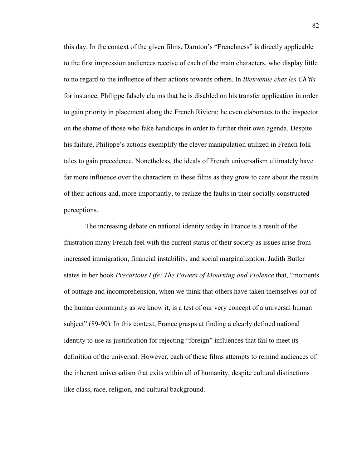this day. In the context of the given films, Darnton's "Frenchness" is directly applicable to the first impression audiences receive of each of the main characters, who display little to no regard to the influence of their actions towards others. In *Bienvenue chez les Ch'tis* for instance, Philippe falsely claims that he is disabled on his transfer application in order to gain priority in placement along the French Riviera; he even elaborates to the inspector on the shame of those who fake handicaps in order to further their own agenda. Despite his failure, Philippe's actions exemplify the clever manipulation utilized in French folk tales to gain precedence. Nonetheless, the ideals of French universalism ultimately have far more influence over the characters in these films as they grow to care about the results of their actions and, more importantly, to realize the faults in their socially constructed perceptions.

The increasing debate on national identity today in France is a result of the frustration many French feel with the current status of their society as issues arise from increased immigration, financial instability, and social marginalization. Judith Butler states in her book *Precarious Life: The Powers of Mourning and Violence* that, "moments of outrage and incomprehension, when we think that others have taken themselves out of the human community as we know it, is a test of our very concept of a universal human subject" (89-90). In this context, France grasps at finding a clearly defined national identity to use as justification for rejecting "foreign" influences that fail to meet its definition of the universal. However, each of these films attempts to remind audiences of the inherent universalism that exits within all of humanity, despite cultural distinctions like class, race, religion, and cultural background.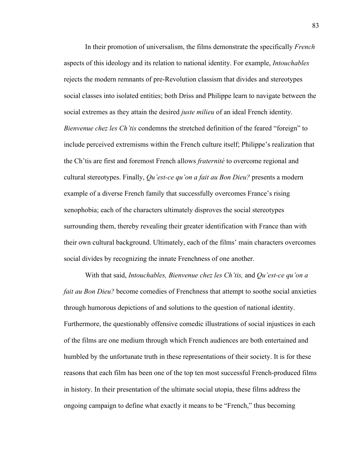In their promotion of universalism, the films demonstrate the specifically *French*  aspects of this ideology and its relation to national identity. For example, *Intouchables* rejects the modern remnants of pre-Revolution classism that divides and stereotypes social classes into isolated entities; both Driss and Philippe learn to navigate between the social extremes as they attain the desired *juste milieu* of an ideal French identity. *Bienvenue chez les Ch'tis* condemns the stretched definition of the feared "foreign" to include perceived extremisms within the French culture itself; Philippe's realization that the Ch'tis are first and foremost French allows *fraternité* to overcome regional and cultural stereotypes. Finally, *Qu'est-ce qu'on a fait au Bon Dieu?* presents a modern example of a diverse French family that successfully overcomes France's rising xenophobia; each of the characters ultimately disproves the social stereotypes surrounding them, thereby revealing their greater identification with France than with their own cultural background. Ultimately, each of the films' main characters overcomes social divides by recognizing the innate Frenchness of one another.

With that said, *Intouchables, Bienvenue chez les Ch'tis,* and *Qu'est-ce qu'on a fait au Bon Dieu?* become comedies of Frenchness that attempt to soothe social anxieties through humorous depictions of and solutions to the question of national identity. Furthermore, the questionably offensive comedic illustrations of social injustices in each of the films are one medium through which French audiences are both entertained and humbled by the unfortunate truth in these representations of their society. It is for these reasons that each film has been one of the top ten most successful French-produced films in history. In their presentation of the ultimate social utopia, these films address the ongoing campaign to define what exactly it means to be "French," thus becoming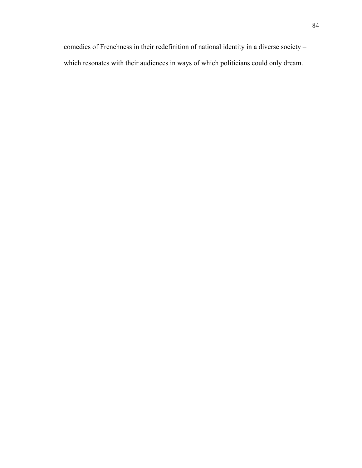comedies of Frenchness in their redefinition of national identity in a diverse society – which resonates with their audiences in ways of which politicians could only dream.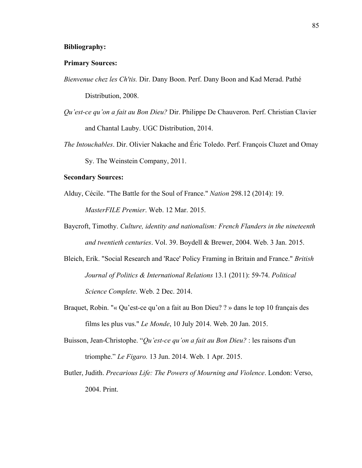## **Bibliography:**

# **Primary Sources:**

- *Bienvenue chez les Ch'tis.* Dir. Dany Boon. Perf. Dany Boon and Kad Merad. Pathé Distribution, 2008.
- *Qu'est-ce qu'on a fait au Bon Dieu?* Dir. Philippe De Chauveron. Perf. Christian Clavier and Chantal Lauby. UGC Distribution, 2014.
- *The Intouchables*. Dir. Olivier Nakache and Éric Toledo. Perf. François Cluzet and Omay Sy. The Weinstein Company, 2011.

#### **Secondary Sources:**

- Alduy, Cécile. "The Battle for the Soul of France." *Nation* 298.12 (2014): 19. *MasterFILE Premier*. Web. 12 Mar. 2015.
- Baycroft, Timothy. *Culture, identity and nationalism: French Flanders in the nineteenth and twentieth centuries*. Vol. 39. Boydell & Brewer, 2004. Web. 3 Jan. 2015.
- Bleich, Erik. "Social Research and 'Race' Policy Framing in Britain and France." *British Journal of Politics & International Relations* 13.1 (2011): 59-74. *Political Science Complete*. Web. 2 Dec. 2014.
- Braquet, Robin. "« Qu'est-ce qu'on a fait au Bon Dieu? ? » dans le top 10 français des films les plus vus." *Le Monde*, 10 July 2014. Web. 20 Jan. 2015.
- Buisson, Jean-Christophe. "*Qu'est-ce qu'on a fait au Bon Dieu?* : les raisons d'un triomphe." *Le Figaro.* 13 Jun. 2014. Web. 1 Apr. 2015.
- Butler, Judith. *Precarious Life: The Powers of Mourning and Violence*. London: Verso, 2004. Print.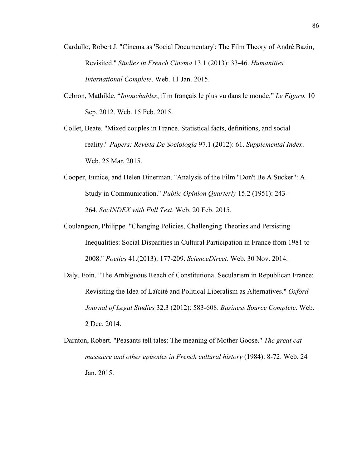- Cardullo, Robert J. "Cinema as 'Social Documentary': The Film Theory of André Bazin, Revisited." *Studies in French Cinema* 13.1 (2013): 33-46. *Humanities International Complete*. Web. 11 Jan. 2015.
- Cebron, Mathilde. "*Intouchables*, film français le plus vu dans le monde." *Le Figaro.* 10 Sep. 2012. Web. 15 Feb. 2015.
- Collet, Beate. "Mixed couples in France. Statistical facts, definitions, and social reality." *Papers: Revista De Sociologia* 97.1 (2012): 61. *Supplemental Index*. Web. 25 Mar. 2015.
- Cooper, Eunice, and Helen Dinerman. "Analysis of the Film "Don't Be A Sucker": A Study in Communication." *Public Opinion Quarterly* 15.2 (1951): 243- 264. *SocINDEX with Full Text*. Web. 20 Feb. 2015.
- Coulangeon, Philippe. "Changing Policies, Challenging Theories and Persisting Inequalities: Social Disparities in Cultural Participation in France from 1981 to 2008." *Poetics* 41.(2013): 177-209. *ScienceDirect*. Web. 30 Nov. 2014.
- Daly, Eoin. "The Ambiguous Reach of Constitutional Secularism in Republican France: Revisiting the Idea of Laïcité and Political Liberalism as Alternatives." *Oxford Journal of Legal Studies* 32.3 (2012): 583-608. *Business Source Complete*. Web. 2 Dec. 2014.
- Darnton, Robert. "Peasants tell tales: The meaning of Mother Goose." *The great cat massacre and other episodes in French cultural history* (1984): 8-72. Web. 24 Jan. 2015.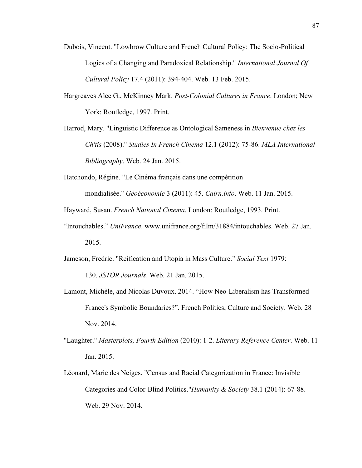- Dubois, Vincent. "Lowbrow Culture and French Cultural Policy: The Socio-Political Logics of a Changing and Paradoxical Relationship." *International Journal Of Cultural Policy* 17.4 (2011): 394-404. Web. 13 Feb. 2015.
- Hargreaves Alec G., McKinney Mark. *Post-Colonial Cultures in France*. London; New York: Routledge, 1997. Print.
- Harrod, Mary. "Linguistic Difference as Ontological Sameness in *Bienvenue chez les Ch'tis* (2008)." *Studies In French Cinema* 12.1 (2012): 75-86. *MLA International Bibliography*. Web. 24 Jan. 2015.
- Hatchondo, Régine. "Le Cinéma français dans une compétition mondialisée." *Géoéconomie* 3 (2011): 45. *Cairn.info*. Web. 11 Jan. 2015.
- Hayward, Susan. *French National Cinema*. London: Routledge, 1993. Print.
- "Intouchables." *UniFrance*. www.unifrance.org/film/31884/intouchables. Web. 27 Jan. 2015.
- Jameson, Fredric. "Reification and Utopia in Mass Culture." *Social Text* 1979: 130. *JSTOR Journals*. Web. 21 Jan. 2015.
- Lamont, Michèle, and Nicolas Duvoux. 2014. "How Neo-Liberalism has Transformed France's Symbolic Boundaries?". French Politics, Culture and Society. Web. 28 Nov. 2014.
- "Laughter." *Masterplots, Fourth Edition* (2010): 1-2. *Literary Reference Center*. Web. 11 Jan. 2015.
- Léonard, Marie des Neiges. "Census and Racial Categorization in France: Invisible Categories and Color-Blind Politics."*Humanity & Society* 38.1 (2014): 67-88. Web. 29 Nov. 2014.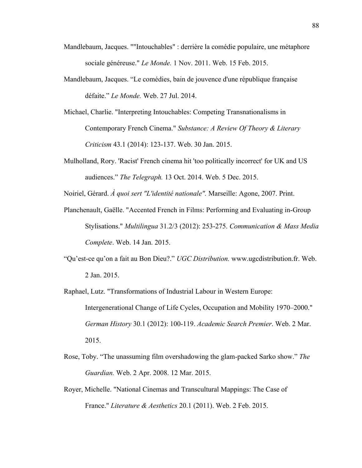- Mandlebaum, Jacques. ""Intouchables" : derrière la comédie populaire, une métaphore sociale généreuse." *Le Monde.* 1 Nov. 2011. Web. 15 Feb. 2015.
- Mandlebaum, Jacques. "Le comédies, bain de jouvence d'une république française défaite." *Le Monde.* Web. 27 Jul. 2014.
- Michael, Charlie. "Interpreting Intouchables: Competing Transnationalisms in Contemporary French Cinema." *Substance: A Review Of Theory & Literary Criticism* 43.1 (2014): 123-137. Web. 30 Jan. 2015.
- Mulholland, Rory. 'Racist' French cinema hit 'too politically incorrect' for UK and US audiences." *The Telegraph.* 13 Oct. 2014. Web. 5 Dec. 2015.

Noiriel, Gérard. *À quoi sert "L'identité nationale".* Marseille: Agone, 2007. Print.

- Planchenault, Gaëlle. "Accented French in Films: Performing and Evaluating in-Group Stylisations." *Multilingua* 31.2/3 (2012): 253-275. *Communication & Mass Media Complete*. Web. 14 Jan. 2015.
- "Qu'est-ce qu'on a fait au Bon Dieu?." *UGC Distribution.* www.ugcdistribution.fr. Web. 2 Jan. 2015.
- Raphael, Lutz. "Transformations of Industrial Labour in Western Europe: Intergenerational Change of Life Cycles, Occupation and Mobility 1970–2000." *German History* 30.1 (2012): 100-119. *Academic Search Premier*. Web. 2 Mar. 2015.
- Rose, Toby. "The unassuming film overshadowing the glam-packed Sarko show." *The Guardian.* Web. 2 Apr. 2008. 12 Mar. 2015.
- Royer, Michelle. "National Cinemas and Transcultural Mappings: The Case of France." *Literature & Aesthetics* 20.1 (2011). Web. 2 Feb. 2015.